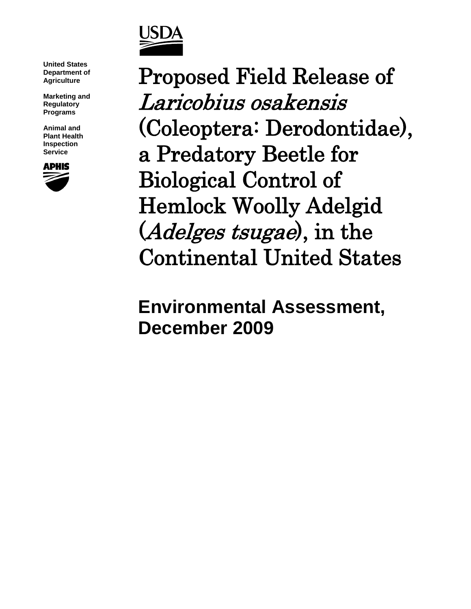

**United States Department of Agriculture**

**Marketing and Regulatory Programs**

**Animal and Plant Health Inspection Service**



Proposed Field Release of Laricobius osakensis (Coleoptera: Derodontidae), a Predatory Beetle for Biological Control of Hemlock Woolly Adelgid (*Adelges tsugae*), in the Continental United States

**Environmental Assessment, December 2009**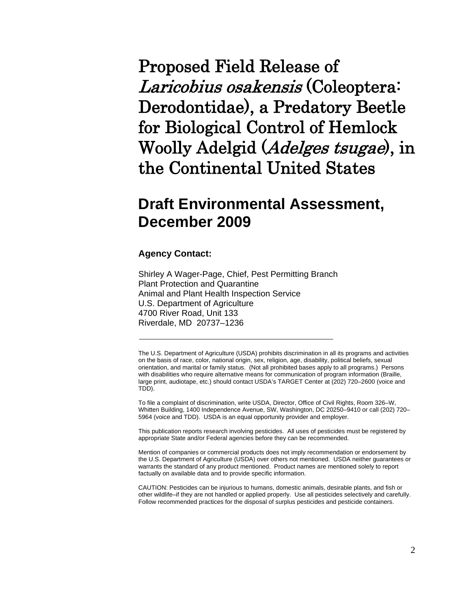Proposed Field Release of Laricobius osakensis (Coleoptera: Derodontidae), a Predatory Beetle for Biological Control of Hemlock Woolly Adelgid (Adelges tsugae), in the Continental United States

# **Draft Environmental Assessment, December 2009**

### **Agency Contact:**

Shirley A Wager-Page, Chief, Pest Permitting Branch Plant Protection and Quarantine Animal and Plant Health Inspection Service U.S. Department of Agriculture 4700 River Road, Unit 133 Riverdale, MD 20737–1236

The U.S. Department of Agriculture (USDA) prohibits discrimination in all its programs and activities on the basis of race, color, national origin, sex, religion, age, disability, political beliefs, sexual orientation, and marital or family status. (Not all prohibited bases apply to all programs.) Persons with disabilities who require alternative means for communication of program information (Braille, large print, audiotape, etc.) should contact USDA's TARGET Center at (202) 720–2600 (voice and TDD).

To file a complaint of discrimination, write USDA, Director, Office of Civil Rights, Room 326–W, Whitten Building, 1400 Independence Avenue, SW, Washington, DC 20250–9410 or call (202) 720– 5964 (voice and TDD). USDA is an equal opportunity provider and employer.

This publication reports research involving pesticides. All uses of pesticides must be registered by appropriate State and/or Federal agencies before they can be recommended.

Mention of companies or commercial products does not imply recommendation or endorsement by the U.S. Department of Agriculture (USDA) over others not mentioned. USDA neither guarantees or warrants the standard of any product mentioned. Product names are mentioned solely to report factually on available data and to provide specific information.

CAUTION: Pesticides can be injurious to humans, domestic animals, desirable plants, and fish or other wildlife–if they are not handled or applied properly. Use all pesticides selectively and carefully. Follow recommended practices for the disposal of surplus pesticides and pesticide containers.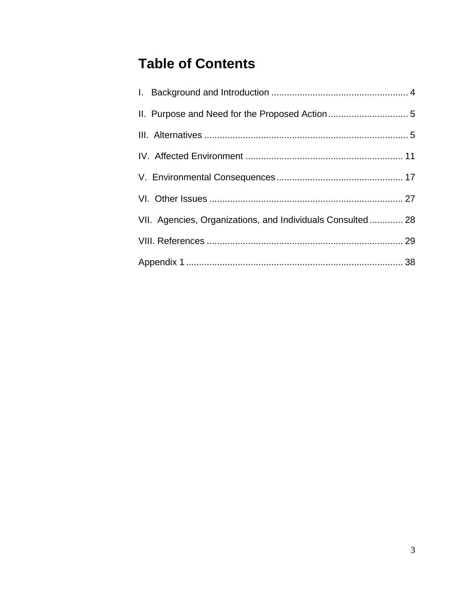# **Table of Contents**

| VII. Agencies, Organizations, and Individuals Consulted 28 |  |
|------------------------------------------------------------|--|
|                                                            |  |
|                                                            |  |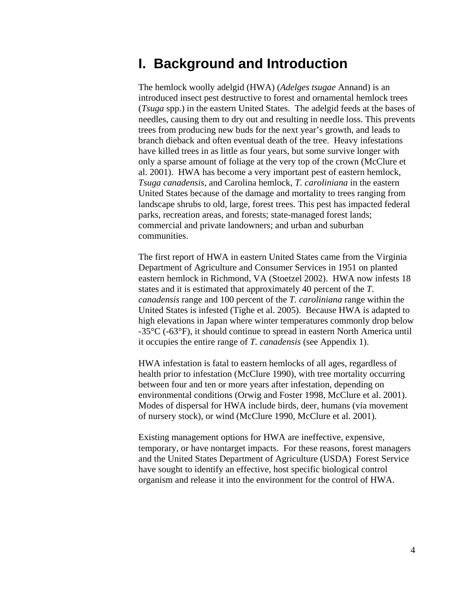# **I. Background and Introduction**

The hemlock woolly adelgid (HWA) (*Adelges tsugae* Annand) is an introduced insect pest destructive to forest and ornamental hemlock trees (*Tsuga* spp.) in the eastern United States. The adelgid feeds at the bases of needles, causing them to dry out and resulting in needle loss. This prevents trees from producing new buds for the next year's growth, and leads to branch dieback and often eventual death of the tree. Heavy infestations have killed trees in as little as four years, but some survive longer with only a sparse amount of foliage at the very top of the crown (McClure et al. 2001). HWA has become a very important pest of eastern hemlock, *Tsuga canadensis,* and Carolina hemlock, *T. caroliniana* in the eastern United States because of the damage and mortality to trees ranging from landscape shrubs to old, large, forest trees. This pest has impacted federal parks, recreation areas, and forests; state-managed forest lands; commercial and private landowners; and urban and suburban communities.

The first report of HWA in eastern United States came from the Virginia Department of Agriculture and Consumer Services in 1951 on planted eastern hemlock in Richmond, VA (Stoetzel 2002). HWA now infests 18 states and it is estimated that approximately 40 percent of the *T. canadensis* range and 100 percent of the *T. caroliniana* range within the United States is infested (Tighe et al. 2005). Because HWA is adapted to high elevations in Japan where winter temperatures commonly drop below -35°C (-63°F), it should continue to spread in eastern North America until it occupies the entire range of *T. canadensis* (see Appendix 1).

HWA infestation is fatal to eastern hemlocks of all ages, regardless of health prior to infestation (McClure 1990), with tree mortality occurring between four and ten or more years after infestation, depending on environmental conditions (Orwig and Foster 1998, McClure et al. 2001). Modes of dispersal for HWA include birds, deer, humans (via movement of nursery stock), or wind (McClure 1990, McClure et al. 2001).

Existing management options for HWA are ineffective, expensive, temporary, or have nontarget impacts. For these reasons, forest managers and the United States Department of Agriculture (USDA) Forest Service have sought to identify an effective, host specific biological control organism and release it into the environment for the control of HWA.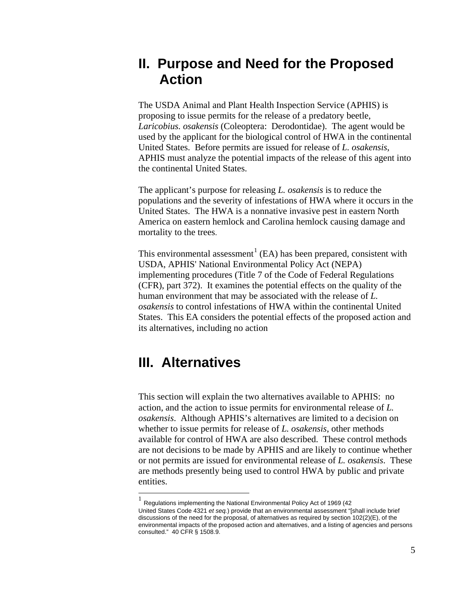# **II. Purpose and Need for the Proposed Action**

The USDA Animal and Plant Health Inspection Service (APHIS) is proposing to issue permits for the release of a predatory beetle, *Laricobius. osakensis* (Coleoptera: Derodontidae). The agent would be used by the applicant for the biological control of HWA in the continental United States. Before permits are issued for release of *L. osakensis*, APHIS must analyze the potential impacts of the release of this agent into the continental United States.

The applicant's purpose for releasing *L. osakensis* is to reduce the populations and the severity of infestations of HWA where it occurs in the United States. The HWA is a nonnative invasive pest in eastern North America on eastern hemlock and Carolina hemlock causing damage and mortality to the trees.

This environmental assessment<sup>[1](#page-4-0)</sup> (EA) has been prepared, consistent with USDA, APHIS' National Environmental Policy Act (NEPA) implementing procedures (Title 7 of the Code of Federal Regulations (CFR), part 372). It examines the potential effects on the quality of the human environment that may be associated with the release of *L. osakensis* to control infestations of HWA within the continental United States. This EA considers the potential effects of the proposed action and its alternatives, including no action

## **III. Alternatives**

This section will explain the two alternatives available to APHIS: no action, and the action to issue permits for environmental release of *L. osakensis*. Although APHIS's alternatives are limited to a decision on whether to issue permits for release of *L. osakensis*, other methods available for control of HWA are also described. These control methods are not decisions to be made by APHIS and are likely to continue whether or not permits are issued for environmental release of *L. osakensis*. These are methods presently being used to control HWA by public and private entities.

<span id="page-4-0"></span> <sup>1</sup> Regulations implementing the National Environmental Policy Act of 1969 (42 United States Code 4321 *et seq.*) provide that an environmental assessment "[shall include brief discussions of the need for the proposal, of alternatives as required by section  $102(2)(E)$ , of the environmental impacts of the proposed action and alternatives, and a listing of agencies and persons consulted." 40 CFR § 1508.9.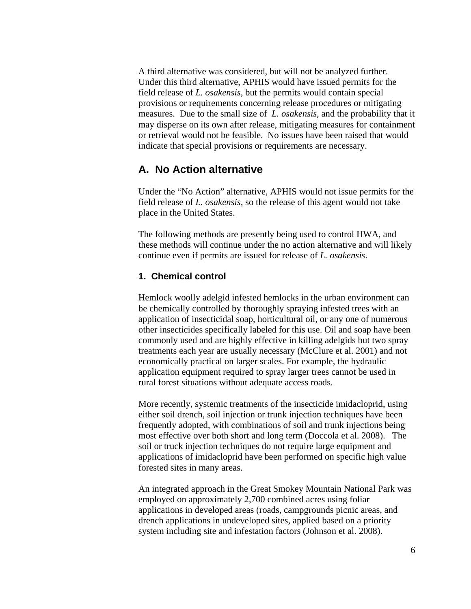A third alternative was considered, but will not be analyzed further. Under this third alternative, APHIS would have issued permits for the field release of *L. osakensis*, but the permits would contain special provisions or requirements concerning release procedures or mitigating measures. Due to the small size of *L. osakensis,* and the probability that it may disperse on its own after release, mitigating measures for containment or retrieval would not be feasible. No issues have been raised that would indicate that special provisions or requirements are necessary.

### **A. No Action alternative**

Under the "No Action" alternative, APHIS would not issue permits for the field release of *L. osakensis,* so the release of this agent would not take place in the United States.

The following methods are presently being used to control HWA, and these methods will continue under the no action alternative and will likely continue even if permits are issued for release of *L. osakensis*.

### **1. Chemical control**

Hemlock woolly adelgid infested hemlocks in the urban environment can be chemically controlled by thoroughly spraying infested trees with an application of insecticidal soap, horticultural oil, or any one of numerous other insecticides specifically labeled for this use. Oil and soap have been commonly used and are highly effective in killing adelgids but two spray treatments each year are usually necessary (McClure et al. 2001) and not economically practical on larger scales. For example, the hydraulic application equipment required to spray larger trees cannot be used in rural forest situations without adequate access roads.

More recently, systemic treatments of the insecticide imidacloprid, using either soil drench, soil injection or trunk injection techniques have been frequently adopted, with combinations of soil and trunk injections being most effective over both short and long term (Doccola et al. 2008). The soil or truck injection techniques do not require large equipment and applications of imidacloprid have been performed on specific high value forested sites in many areas.

An integrated approach in the Great Smokey Mountain National Park was employed on approximately 2,700 combined acres using foliar applications in developed areas (roads, campgrounds picnic areas, and drench applications in undeveloped sites, applied based on a priority system including site and infestation factors (Johnson et al. 2008).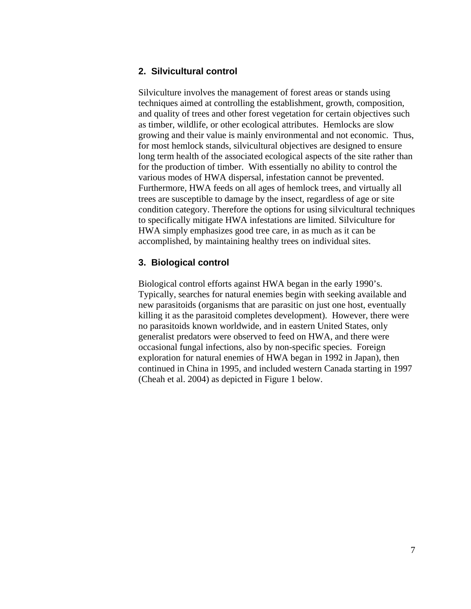### **2. Silvicultural control**

Silviculture involves the management of forest areas or stands using techniques aimed at controlling the establishment, growth, composition, and quality of trees and other forest vegetation for certain objectives such as timber, wildlife, or other ecological attributes. Hemlocks are slow growing and their value is mainly environmental and not economic. Thus, for most hemlock stands, silvicultural objectives are designed to ensure long term health of the associated ecological aspects of the site rather than for the production of timber. With essentially no ability to control the various modes of HWA dispersal, infestation cannot be prevented. Furthermore, HWA feeds on all ages of hemlock trees, and virtually all trees are susceptible to damage by the insect, regardless of age or site condition category. Therefore the options for using silvicultural techniques to specifically mitigate HWA infestations are limited. Silviculture for HWA simply emphasizes good tree care, in as much as it can be accomplished, by maintaining healthy trees on individual sites.

### **3. Biological control**

Biological control efforts against HWA began in the early 1990's. Typically, searches for natural enemies begin with seeking available and new parasitoids (organisms that are parasitic on just one host, eventually killing it as the parasitoid completes development). However, there were no parasitoids known worldwide, and in eastern United States, only generalist predators were observed to feed on HWA, and there were occasional fungal infections, also by non-specific species. Foreign exploration for natural enemies of HWA began in 1992 in Japan), then continued in China in 1995, and included western Canada starting in 1997 (Cheah et al. 2004) as depicted in Figure 1 below.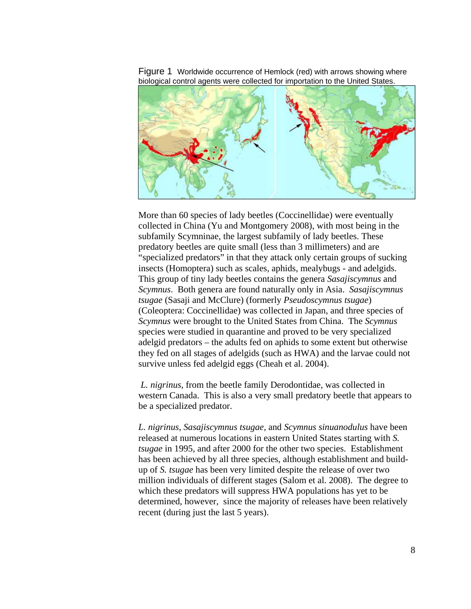

Figure 1 Worldwide occurrence of Hemlock (red) with arrows showing where biological control agents were collected for importation to the United States.

More than 60 species of lady beetles (Coccinellidae) were eventually collected in China (Yu and Montgomery 2008), with most being in the subfamily Scymninae, the largest subfamily of lady beetles. These predatory beetles are quite small (less than 3 millimeters) and are "specialized predators" in that they attack only certain groups of sucking insects (Homoptera) such as scales, aphids, mealybugs - and adelgids. This group of tiny lady beetles contains the genera *Sasajiscymnus* and *Scymnus*. Both genera are found naturally only in Asia. *Sasajiscymnus tsugae* (Sasaji and McClure) (formerly *Pseudoscymnus tsugae*) (Coleoptera: Coccinellidae) was collected in Japan, and three species of *Scymnus* were brought to the United States from China. The *Scymnus*  species were studied in quarantine and proved to be very specialized adelgid predators – the adults fed on aphids to some extent but otherwise they fed on all stages of adelgids (such as HWA) and the larvae could not survive unless fed adelgid eggs (Cheah et al. 2004).

*L. nigrinus*, from the beetle family Derodontidae, was collected in western Canada. This is also a very small predatory beetle that appears to be a specialized predator.

*L. nigrinus*, *Sasajiscymnus tsugae,* and *Scymnus sinuanodulus* have been released at numerous locations in eastern United States starting with *S. tsugae* in 1995, and after 2000 for the other two species. Establishment has been achieved by all three species, although establishment and buildup of *S. tsugae* has been very limited despite the release of over two million individuals of different stages (Salom et al. 2008). The degree to which these predators will suppress HWA populations has yet to be determined, however, since the majority of releases have been relatively recent (during just the last 5 years).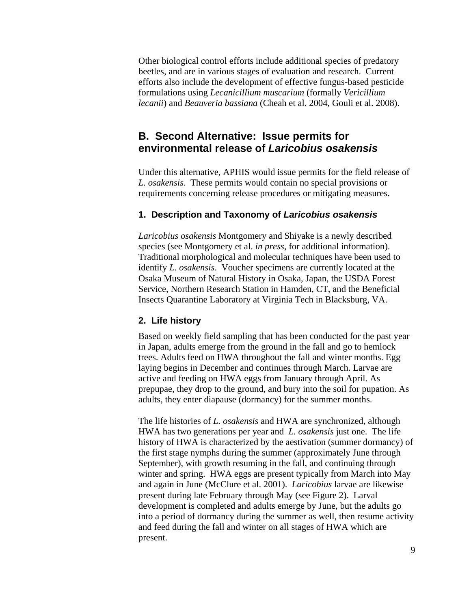Other biological control efforts include additional species of predatory beetles, and are in various stages of evaluation and research. Current efforts also include the development of effective fungus-based pesticide formulations using *Lecanicillium muscarium* (formally *Vericillium lecanii*) and *Beauveria bassiana* (Cheah et al. 2004, Gouli et al. 2008).

### **B. Second Alternative: Issue permits for environmental release of** *Laricobius osakensis*

Under this alternative, APHIS would issue permits for the field release of *L. osakensis*. These permits would contain no special provisions or requirements concerning release procedures or mitigating measures.

### **1. Description and Taxonomy of** *Laricobius osakensis*

*Laricobius osakensis* Montgomery and Shiyake is a newly described species (see Montgomery et al. *in press*, for additional information). Traditional morphological and molecular techniques have been used to identify *L. osakensis*. Voucher specimens are currently located at the Osaka Museum of Natural History in Osaka, Japan, the USDA Forest Service, Northern Research Station in Hamden, CT, and the Beneficial Insects Quarantine Laboratory at Virginia Tech in Blacksburg, VA.

### **2. Life history**

Based on weekly field sampling that has been conducted for the past year in Japan, adults emerge from the ground in the fall and go to hemlock trees. Adults feed on HWA throughout the fall and winter months. Egg laying begins in December and continues through March. Larvae are active and feeding on HWA eggs from January through April. As prepupae, they drop to the ground, and bury into the soil for pupation. As adults, they enter diapause (dormancy) for the summer months.

The life histories of *L. osakensis* and HWA are synchronized, although HWA has two generations per year and *L. osakensis* just one. The life history of HWA is characterized by the aestivation (summer dormancy) of the first stage nymphs during the summer (approximately June through September), with growth resuming in the fall, and continuing through winter and spring. HWA eggs are present typically from March into May and again in June (McClure et al. 2001). *Laricobius* larvae are likewise present during late February through May (see Figure 2). Larval development is completed and adults emerge by June, but the adults go into a period of dormancy during the summer as well, then resume activity and feed during the fall and winter on all stages of HWA which are present.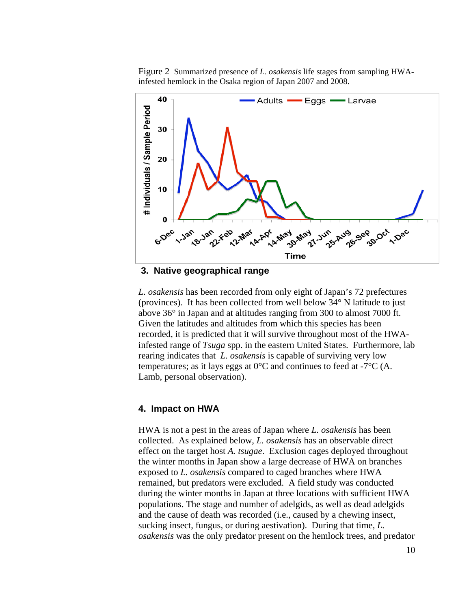Figure 2 Summarized presence of *L. osakensis* life stages from sampling HWAinfested hemlock in the Osaka region of Japan 2007 and 2008.



**3. Native geographical range**

*L. osakensis* has been recorded from only eight of Japan's 72 prefectures (provinces). It has been collected from well below 34° N latitude to just above 36° in Japan and at altitudes ranging from 300 to almost 7000 ft. Given the latitudes and altitudes from which this species has been recorded, it is predicted that it will survive throughout most of the HWAinfested range of *Tsuga* spp. in the eastern United States. Furthermore, lab rearing indicates that *L. osakensis* is capable of surviving very low temperatures; as it lays eggs at  $0^{\circ}$ C and continues to feed at  $-7^{\circ}$ C (A. Lamb, personal observation).

### **4. Impact on HWA**

HWA is not a pest in the areas of Japan where *L. osakensis* has been collected. As explained below, *L. osakensis* has an observable direct effect on the target host *A. tsugae*. Exclusion cages deployed throughout the winter months in Japan show a large decrease of HWA on branches exposed to *L. osakensis* compared to caged branches where HWA remained, but predators were excluded. A field study was conducted during the winter months in Japan at three locations with sufficient HWA populations. The stage and number of adelgids, as well as dead adelgids and the cause of death was recorded (i.e., caused by a chewing insect, sucking insect, fungus, or during aestivation). During that time, *L. osakensis* was the only predator present on the hemlock trees, and predator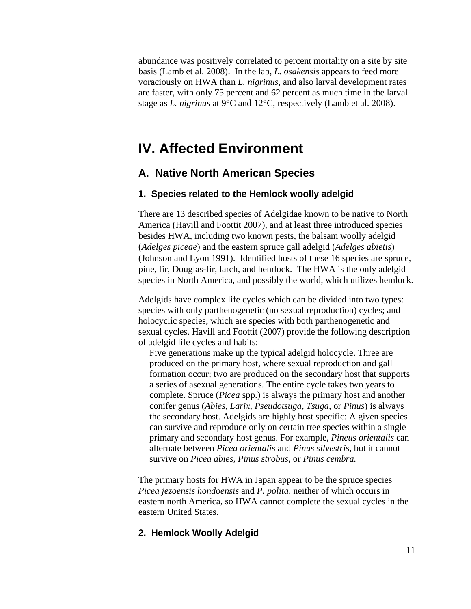abundance was positively correlated to percent mortality on a site by site basis (Lamb et al. 2008). In the lab, *L. osakensis* appears to feed more voraciously on HWA than *L. nigrinus*, and also larval development rates are faster, with only 75 percent and 62 percent as much time in the larval stage as *L. nigrinus* at 9°C and 12°C, respectively (Lamb et al. 2008).

## **IV. Affected Environment**

### **A. Native North American Species**

### **1. Species related to the Hemlock woolly adelgid**

There are 13 described species of Adelgidae known to be native to North America (Havill and Foottit 2007), and at least three introduced species besides HWA, including two known pests, the balsam woolly adelgid (*Adelges piceae*) and the eastern spruce gall adelgid (*Adelges abietis*) (Johnson and Lyon 1991). Identified hosts of these 16 species are spruce, pine, fir, Douglas-fir, larch, and hemlock. The HWA is the only adelgid species in North America, and possibly the world, which utilizes hemlock.

Adelgids have complex life cycles which can be divided into two types: species with only parthenogenetic (no sexual reproduction) cycles; and holocyclic species, which are species with both parthenogenetic and sexual cycles. Havill and Foottit (2007) provide the following description of adelgid life cycles and habits:

Five generations make up the typical adelgid holocycle. Three are produced on the primary host, where sexual reproduction and gall formation occur; two are produced on the secondary host that supports a series of asexual generations. The entire cycle takes two years to complete. Spruce (*Picea* spp.) is always the primary host and another conifer genus (*Abies*, *Larix*, *Pseudotsuga*, *Tsuga*, or *Pinus*) is always the secondary host. Adelgids are highly host specific: A given species can survive and reproduce only on certain tree species within a single primary and secondary host genus. For example, *Pineus orientalis* can alternate between *Picea orientalis* and *Pinus silvestris*, but it cannot survive on *Picea abies, Pinus strobus*, or *Pinus cembra.*

The primary hosts for HWA in Japan appear to be the spruce species *Picea jezoensis hondoensis* and *P. polita,* neither of which occurs in eastern north America, so HWA cannot complete the sexual cycles in the eastern United States.

### **2. Hemlock Woolly Adelgid**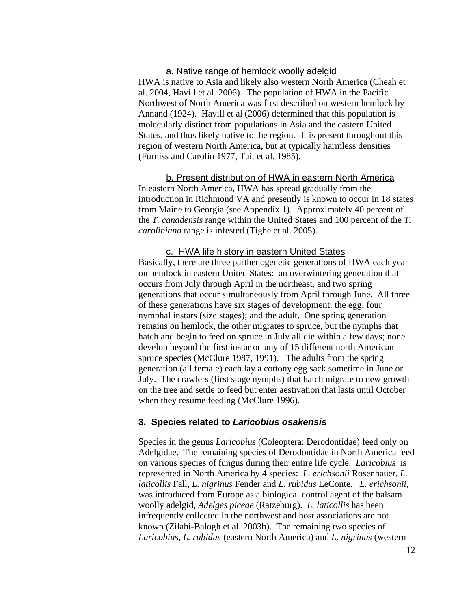### a. Native range of hemlock woolly adelgid

HWA is native to Asia and likely also western North America (Cheah et al. 2004, Havill et al. 2006). The population of HWA in the Pacific Northwest of North America was first described on western hemlock by Annand (1924). Havill et al (2006) determined that this population is molecularly distinct from populations in Asia and the eastern United States, and thus likely native to the region. It is present throughout this region of western North America, but at typically harmless densities (Furniss and Carolin 1977, Tait et al. 1985).

b. Present distribution of HWA in eastern North America In eastern North America, HWA has spread gradually from the introduction in Richmond VA and presently is known to occur in 18 states from Maine to Georgia (see Appendix 1). Approximately 40 percent of the *T. canadensis* range within the United States and 100 percent of the *T. caroliniana* range is infested (Tighe et al. 2005).

# c. HWA life history in eastern United States

Basically, there are three parthenogenetic generations of HWA each year on hemlock in eastern United States: an overwintering generation that occurs from July through April in the northeast, and two spring generations that occur simultaneously from April through June. All three of these generations have six stages of development: the egg; four nymphal instars (size stages); and the adult. One spring generation remains on hemlock, the other migrates to spruce, but the nymphs that hatch and begin to feed on spruce in July all die within a few days; none develop beyond the first instar on any of 15 different north American spruce species (McClure 1987, 1991). The adults from the spring generation (all female) each lay a cottony egg sack sometime in June or July. The crawlers (first stage nymphs) that hatch migrate to new growth on the tree and settle to feed but enter aestivation that lasts until October when they resume feeding (McClure 1996).

### **3. Species related to** *Laricobius osakensis*

Species in the genus *Laricobius* (Coleoptera: Derodontidae) feed only on Adelgidae. The remaining species of Derodontidae in North America feed on various species of fungus during their entire life cycle. *Laricobius* is represented in North America by 4 species: *L. erichsonii* Rosenhauer, *L. laticollis* Fall, *L. nigrinus* Fender and *L. rubidus* LeConte. *L. erichsonii*, was introduced from Europe as a biological control agent of the balsam woolly adelgid, *Adelges piceae* (Ratzeburg). *L. laticollis* has been infrequently collected in the northwest and host associations are not known (Zilahi-Balogh et al. 2003b). The remaining two species of *Laricobius*, *L. rubidus* (eastern North America) and *L. nigrinus* (western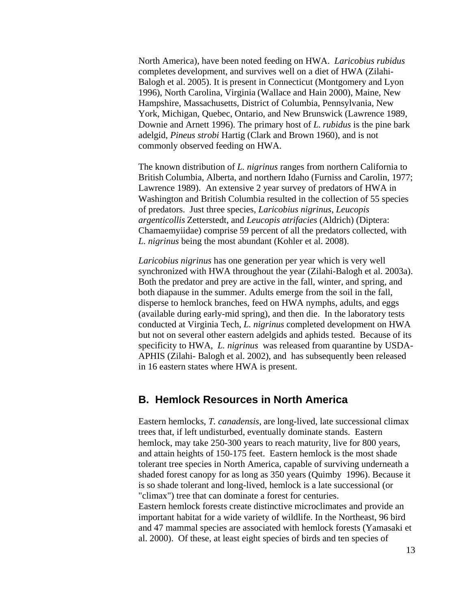North America), have been noted feeding on HWA. *Laricobius rubidus* completes development, and survives well on a diet of HWA (Zilahi-Balogh et al. 2005). It is present in Connecticut (Montgomery and Lyon 1996), North Carolina, Virginia (Wallace and Hain 2000), Maine, New Hampshire, Massachusetts, District of Columbia, Pennsylvania, New York, Michigan, Quebec, Ontario, and New Brunswick (Lawrence 1989, Downie and Arnett 1996). The primary host of *L. rubidus* is the pine bark adelgid, *Pineus strobi* Hartig (Clark and Brown 1960), and is not commonly observed feeding on HWA.

The known distribution of *L. nigrinus* ranges from northern California to British Columbia, Alberta, and northern Idaho (Furniss and Carolin, 1977; Lawrence 1989). An extensive 2 year survey of predators of HWA in Washington and British Columbia resulted in the collection of 55 species of predators. Just three species, *Laricobius nigrinus*, *Leucopis argenticollis* Zetterstedt, and *Leucopis atrifacies* (Aldrich) (Diptera: Chamaemyiidae) comprise 59 percent of all the predators collected, with *L. nigrinus* being the most abundant (Kohler et al. 2008).

*Laricobius nigrinus* has one generation per year which is very well synchronized with HWA throughout the year (Zilahi-Balogh et al. 2003a). Both the predator and prey are active in the fall, winter, and spring, and both diapause in the summer. Adults emerge from the soil in the fall, disperse to hemlock branches, feed on HWA nymphs, adults, and eggs (available during early-mid spring), and then die. In the laboratory tests conducted at Virginia Tech, *L. nigrinus* completed development on HWA but not on several other eastern adelgids and aphids tested. Because of its specificity to HWA, *L. nigrinus* was released from quarantine by USDA-APHIS (Zilahi- Balogh et al. 2002), and has subsequently been released in 16 eastern states where HWA is present.

### **B. Hemlock Resources in North America**

Eastern hemlocks, *T. canadensis*, are long-lived, late successional climax trees that, if left undisturbed, eventually dominate stands. Eastern hemlock, may take 250-300 years to reach maturity, live for 800 years, and attain heights of 150-175 feet. Eastern hemlock is the most shade tolerant tree species in North America, capable of surviving underneath a shaded forest canopy for as long as 350 years (Quimby 1996). Because it is so shade tolerant and long-lived, hemlock is a late successional (or "climax") tree that can dominate a forest for centuries. Eastern hemlock forests create distinctive microclimates and provide an important habitat for a wide variety of wildlife. In the Northeast, 96 bird and 47 mammal species are associated with hemlock forests (Yamasaki et al. 2000). Of these, at least eight species of birds and ten species of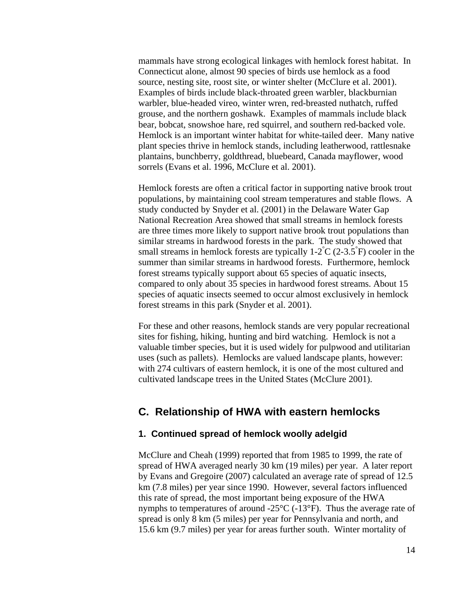mammals have strong ecological linkages with hemlock forest habitat. In Connecticut alone, almost 90 species of birds use hemlock as a food source, nesting site, roost site, or winter shelter (McClure et al. 2001). Examples of birds include [black-throated green warbler,](http://www.nps.gov/dewa/Nature/Document/hwaDEA/BGrWarbler.jpg) [blackburnian](http://www.nps.gov/dewa/Nature/Document/hwaDEA/BBurnWarbler.jpg)  [warbler,](http://www.nps.gov/dewa/Nature/Document/hwaDEA/BBurnWarbler.jpg) [blue-headed vireo,](http://www.nps.gov/dewa/Nature/Document/hwaDEA/SolVireo.jpg) winter wren, red-breasted nuthatch, ruffed grouse, and the northern goshawk. Examples of mammals include black bear, bobcat, snowshoe hare, red squirrel, and southern red-backed vole. Hemlock is an important winter habitat for white-tailed deer. Many native plant species thrive in hemlock stands, including leatherwood, rattlesnake plantains, bunchberry, goldthread, bluebeard, Canada mayflower, wood sorrels (Evans et al. 1996, McClure et al. 2001).

Hemlock forests are often a critical factor in supporting native [brook trout](http://www.nps.gov/dewa/Nature/Document/hwaDEA/BkTrt_sm.jpg) populations, by maintaining cool stream temperatures and stable flows. A study conducted by Snyder et al. (2001) in the Delaware Water Gap National Recreation Area showed that small streams in hemlock forests are three times more likely to support native brook trout populations than similar streams in hardwood forests in the park. The study showed that small streams in hemlock forests are typically  $1-2\degree C$  (2-3.5 $\degree F$ ) cooler in the summer than similar streams in hardwood forests. Furthermore, hemlock forest streams typically support about 65 species of aquatic insects, compared to only about 35 species in hardwood forest streams. About 15 species of aquatic insects seemed to occur almost exclusively in hemlock forest streams in this park (Snyder et al. 2001).

For these and other reasons, hemlock stands are very popular recreational sites for fishing, hiking, hunting and bird watching. Hemlock is not a valuable timber species, but it is used widely for pulpwood and utilitarian uses (such as pallets). Hemlocks are valued landscape plants, however: with 274 cultivars of eastern hemlock, it is one of the most cultured and cultivated landscape trees in the United States (McClure 2001).

### **C. Relationship of HWA with eastern hemlocks**

#### **1. Continued spread of hemlock woolly adelgid**

McClure and Cheah (1999) reported that from 1985 to 1999, the rate of spread of HWA averaged nearly 30 km (19 miles) per year. A later report by Evans and Gregoire (2007) calculated an average rate of spread of 12.5 km (7.8 miles) per year since 1990. However, several factors influenced this rate of spread, the most important being exposure of the HWA nymphs to temperatures of around  $-25^{\circ}C$  ( $-13^{\circ}F$ ). Thus the average rate of spread is only 8 km (5 miles) per year for Pennsylvania and north, and 15.6 km (9.7 miles) per year for areas further south. Winter mortality of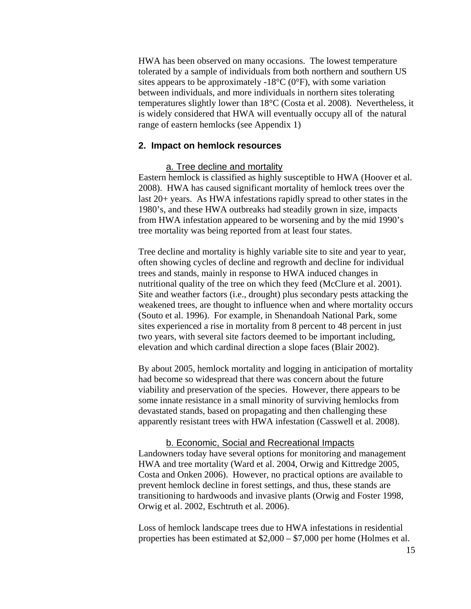HWA has been observed on many occasions. The lowest temperature tolerated by a sample of individuals from both northern and southern US sites appears to be approximately -18 $^{\circ}$ C (0 $^{\circ}$ F), with some variation between individuals, and more individuals in northern sites tolerating temperatures slightly lower than 18°C (Costa et al. 2008). Nevertheless, it is widely considered that HWA will eventually occupy all of the natural range of eastern hemlocks (see Appendix 1)

### **2. Impact on hemlock resources**

#### a. Tree decline and mortality

Eastern hemlock is classified as highly susceptible to HWA (Hoover et al. 2008). HWA has caused significant mortality of hemlock trees over the last 20+ years. As HWA infestations rapidly spread to other states in the 1980's, and these HWA outbreaks had steadily grown in size, impacts from HWA infestation appeared to be worsening and by the mid 1990's tree mortality was being reported from at least four states.

Tree decline and mortality is highly variable site to site and year to year, often showing cycles of decline and regrowth and decline for individual trees and stands, mainly in response to HWA induced changes in nutritional quality of the tree on which they feed (McClure et al. 2001). Site and weather factors (i.e., drought) plus secondary pests attacking the weakened trees, are thought to influence when and where mortality occurs (Souto et al. 1996). For example, in Shenandoah National Park, some sites experienced a rise in mortality from 8 percent to 48 percent in just two years, with several site factors deemed to be important including, elevation and which cardinal direction a slope faces (Blair 2002).

By about 2005, hemlock mortality and logging in anticipation of mortality had become so widespread that there was concern about the future viability and preservation of the species. However, there appears to be some innate resistance in a small minority of surviving hemlocks from devastated stands, based on propagating and then challenging these apparently resistant trees with HWA infestation (Casswell et al. 2008).

#### b. Economic, Social and Recreational Impacts

Landowners today have several options for monitoring and management HWA and tree mortality (Ward et al. 2004, Orwig and Kittredge 2005, Costa and Onken 2006). However, no practical options are available to prevent hemlock decline in forest settings, and thus, these stands are transitioning to hardwoods and invasive plants (Orwig and Foster 1998, Orwig et al. 2002, Eschtruth et al. 2006).

Loss of hemlock landscape trees due to HWA infestations in residential properties has been estimated at \$2,000 – \$7,000 per home (Holmes et al.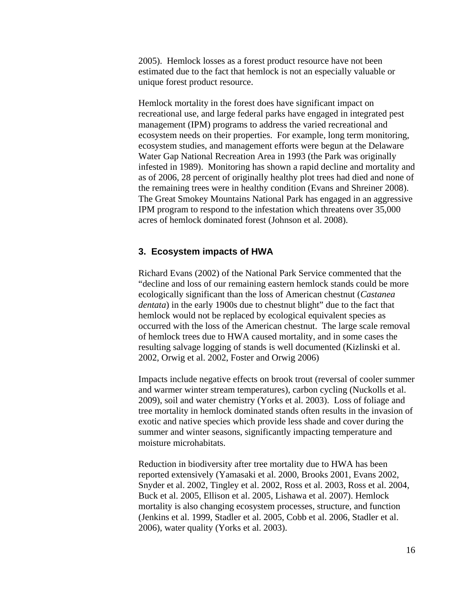2005). Hemlock losses as a forest product resource have not been estimated due to the fact that hemlock is not an especially valuable or unique forest product resource.

Hemlock mortality in the forest does have significant impact on recreational use, and large federal parks have engaged in integrated pest management (IPM) programs to address the varied recreational and ecosystem needs on their properties. For example, long term monitoring, ecosystem studies, and management efforts were begun at the Delaware Water Gap National Recreation Area in 1993 (the Park was originally infested in 1989). Monitoring has shown a rapid decline and mortality and as of 2006, 28 percent of originally healthy plot trees had died and none of the remaining trees were in healthy condition (Evans and Shreiner 2008). The Great Smokey Mountains National Park has engaged in an aggressive IPM program to respond to the infestation which threatens over 35,000 acres of hemlock dominated forest (Johnson et al. 2008).

### **3. Ecosystem impacts of HWA**

Richard Evans (2002) of the National Park Service commented that the "decline and loss of our remaining eastern hemlock stands could be more ecologically significant than the loss of American chestnut (*Castanea dentata*) in the early 1900s due to chestnut blight" due to the fact that hemlock would not be replaced by ecological equivalent species as occurred with the loss of the American chestnut. The large scale removal of hemlock trees due to HWA caused mortality, and in some cases the resulting salvage logging of stands is well documented (Kizlinski et al. 2002, Orwig et al. 2002, Foster and Orwig 2006)

Impacts include negative effects on brook trout (reversal of cooler summer and warmer winter stream temperatures), carbon cycling (Nuckolls et al. 2009), soil and water chemistry (Yorks et al. 2003). Loss of foliage and tree mortality in hemlock dominated stands often results in the invasion of exotic and native species which provide less shade and cover during the summer and winter seasons, significantly impacting temperature and moisture microhabitats.

Reduction in biodiversity after tree mortality due to HWA has been reported extensively (Yamasaki et al. 2000, Brooks 2001, Evans 2002, Snyder et al. 2002, Tingley et al. 2002, Ross et al. 2003, Ross et al. 2004, Buck et al. 2005, Ellison et al. 2005, Lishawa et al. 2007). Hemlock mortality is also changing ecosystem processes, structure, and function (Jenkins et al. 1999, Stadler et al. 2005, Cobb et al. 2006, Stadler et al. 2006), water quality (Yorks et al. 2003).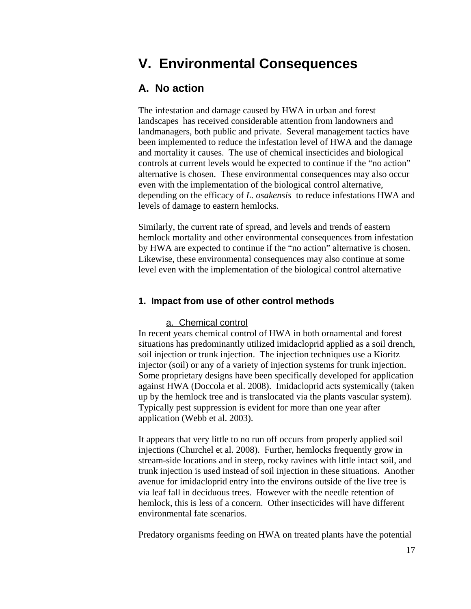# **V. Environmental Consequences**

### **A. No action**

The infestation and damage caused by HWA in urban and forest landscapes has received considerable attention from landowners and landmanagers, both public and private. Several management tactics have been implemented to reduce the infestation level of HWA and the damage and mortality it causes. The use of chemical insecticides and biological controls at current levels would be expected to continue if the "no action" alternative is chosen. These environmental consequences may also occur even with the implementation of the biological control alternative, depending on the efficacy of *L. osakensis* to reduce infestations HWA and levels of damage to eastern hemlocks.

Similarly, the current rate of spread, and levels and trends of eastern hemlock mortality and other environmental consequences from infestation by HWA are expected to continue if the "no action" alternative is chosen. Likewise, these environmental consequences may also continue at some level even with the implementation of the biological control alternative

### **1. Impact from use of other control methods**

### a. Chemical control

In recent years chemical control of HWA in both ornamental and forest situations has predominantly utilized imidacloprid applied as a soil drench, soil injection or trunk injection. The injection techniques use a Kioritz injector (soil) or any of a variety of injection systems for trunk injection. Some proprietary designs have been specifically developed for application against HWA (Doccola et al. 2008). Imidacloprid acts systemically (taken up by the hemlock tree and is translocated via the plants vascular system). Typically pest suppression is evident for more than one year after application (Webb et al. 2003).

It appears that very little to no run off occurs from properly applied soil injections (Churchel et al. 2008). Further, hemlocks frequently grow in stream-side locations and in steep, rocky ravines with little intact soil, and trunk injection is used instead of soil injection in these situations. Another avenue for imidacloprid entry into the environs outside of the live tree is via leaf fall in deciduous trees. However with the needle retention of hemlock, this is less of a concern. Other insecticides will have different environmental fate scenarios.

Predatory organisms feeding on HWA on treated plants have the potential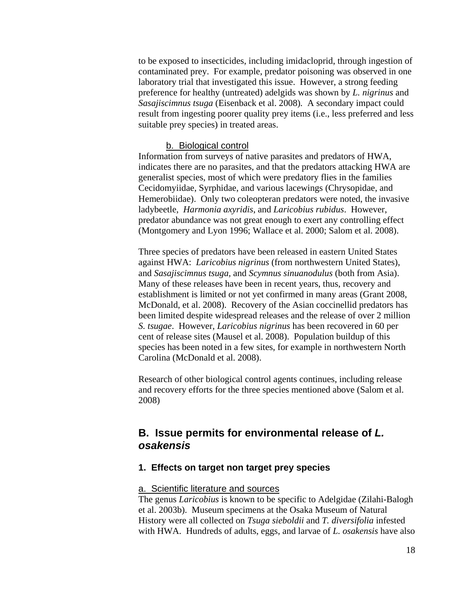to be exposed to insecticides, including imidacloprid, through ingestion of contaminated prey. For example, predator poisoning was observed in one laboratory trial that investigated this issue. However, a strong feeding preference for healthy (untreated) adelgids was shown by *L. nigrinus* and *Sasajiscimnus tsuga* (Eisenback et al. 2008)*.* A secondary impact could result from ingesting poorer quality prey items (i.e., less preferred and less suitable prey species) in treated areas.

#### b. Biological control

Information from surveys of native parasites and predators of HWA, indicates there are no parasites, and that the predators attacking HWA are generalist species, most of which were predatory flies in the families Cecidomyiidae, Syrphidae, and various lacewings (Chrysopidae, and Hemerobiidae). Only two coleopteran predators were noted, the invasive ladybeetle, *Harmonia axyridis*, and *Laricobius rubidus*. However, predator abundance was not great enough to exert any controlling effect (Montgomery and Lyon 1996; Wallace et al. 2000; Salom et al. 2008).

Three species of predators have been released in eastern United States against HWA: *Laricobius nigrinus* (from northwestern United States), and *Sasajiscimnus tsuga,* and *Scymnus sinuanodulus* (both from Asia). Many of these releases have been in recent years, thus, recovery and establishment is limited or not yet confirmed in many areas (Grant 2008, McDonald, et al. 2008). Recovery of the Asian coccinellid predators has been limited despite widespread releases and the release of over 2 million *S. tsugae*. However, *Laricobius nigrinus* has been recovered in 60 per cent of release sites (Mausel et al. 2008). Population buildup of this species has been noted in a few sites, for example in northwestern North Carolina (McDonald et al. 2008).

Research of other biological control agents continues, including release and recovery efforts for the three species mentioned above (Salom et al. 2008)

### **B. Issue permits for environmental release of** *L. osakensis*

### **1. Effects on target non target prey species**

#### a. Scientific literature and sources

The genus *Laricobius* is known to be specific to Adelgidae (Zilahi-Balogh et al. 2003b). Museum specimens at the Osaka Museum of Natural History were all collected on *Tsuga sieboldii* and *T. diversifolia* infested with HWA. Hundreds of adults, eggs, and larvae of *L. osakensis* have also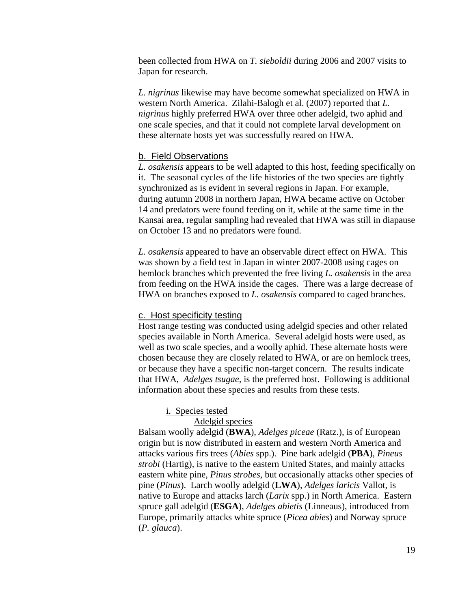been collected from HWA on *T. sieboldii* during 2006 and 2007 visits to Japan for research.

*L. nigrinus* likewise may have become somewhat specialized on HWA in western North America. Zilahi-Balogh et al. (2007) reported that *L. nigrinus* highly preferred HWA over three other adelgid, two aphid and one scale species, and that it could not complete larval development on these alternate hosts yet was successfully reared on HWA.

### b. Field Observations

*L. osakensis* appears to be well adapted to this host, feeding specifically on it. The seasonal cycles of the life histories of the two species are tightly synchronized as is evident in several regions in Japan. For example, during autumn 2008 in northern Japan, HWA became active on October 14 and predators were found feeding on it, while at the same time in the Kansai area, regular sampling had revealed that HWA was still in diapause on October 13 and no predators were found.

*L. osakensis* appeared to have an observable direct effect on HWA. This was shown by a field test in Japan in winter 2007-2008 using cages on hemlock branches which prevented the free living *L. osakensis* in the area from feeding on the HWA inside the cages. There was a large decrease of HWA on branches exposed to *L. osakensis* compared to caged branches.

#### c. Host specificity testing

Host range testing was conducted using adelgid species and other related species available in North America. Several adelgid hosts were used, as well as two scale species, and a woolly aphid. These alternate hosts were chosen because they are closely related to HWA, or are on hemlock trees, or because they have a specific non-target concern. The results indicate that HWA, *Adelges tsugae,* is the preferred host. Following is additional information about these species and results from these tests.

### i. Species tested

### Adelgid species

Balsam woolly adelgid (**BWA**), *Adelges piceae* (Ratz.), is of European origin but is now distributed in eastern and western North America and attacks various firs trees (*Abies* spp.). Pine bark adelgid (**PBA**), *Pineus strobi* (Hartig), is native to the eastern United States, and mainly attacks eastern white pine, *Pinus strobes,* but occasionally attacks other species of pine (*Pinus*). Larch woolly adelgid (**LWA**), *Adelges laricis* Vallot, is native to Europe and attacks larch (*Larix* spp.) in North America. Eastern spruce gall adelgid (**ESGA**), *Adelges abietis* (Linneaus), introduced from Europe, primarily attacks white spruce (*Picea abies*) and Norway spruce (*P. glauca*).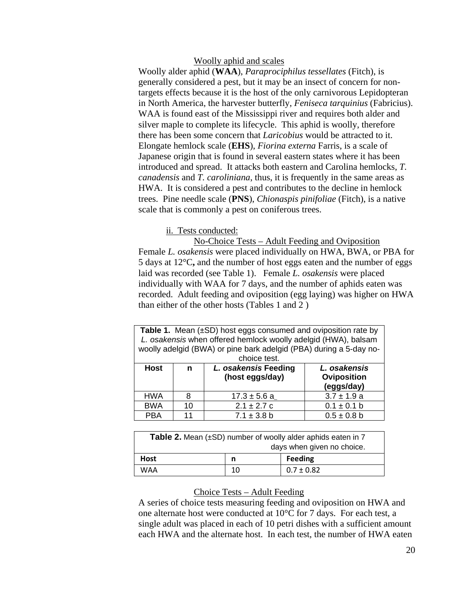### Woolly aphid and scales

Woolly alder aphid (**WAA**), *Paraprociphilus tessellates* (Fitch), is generally considered a pest, but it may be an insect of concern for nontargets effects because it is the host of the only carnivorous Lepidopteran in North America, the harvester butterfly, *Feniseca tarquinius* (Fabricius). WAA is found east of the Mississippi river and requires both alder and silver maple to complete its lifecycle. This aphid is woolly, therefore there has been some concern that *Laricobius* would be attracted to it. Elongate hemlock scale (**EHS**), *Fiorina externa* Farris, is a scale of Japanese origin that is found in several eastern states where it has been introduced and spread. It attacks both eastern and Carolina hemlocks, *T. canadensis* and *T. caroliniana*, thus, it is frequently in the same areas as HWA. It is considered a pest and contributes to the decline in hemlock trees. Pine needle scale (**PNS**), *Chionaspis pinifoliae* (Fitch), is a native scale that is commonly a pest on coniferous trees.

### ii. Tests conducted:

No-Choice Tests – Adult Feeding and Oviposition Female *L. osakensis* were placed individually on HWA, BWA, or PBA for 5 days at 12°C**,** and the number of host eggs eaten and the number of eggs laid was recorded (see Table 1). Female *L. osakensis* were placed individually with WAA for 7 days, and the number of aphids eaten was recorded. Adult feeding and oviposition (egg laying) was higher on HWA than either of the other hosts (Tables 1 and 2 )

| <b>Table 1.</b> Mean $(\pm SD)$ host eggs consumed and oviposition rate by<br>L. osakensis when offered hemlock woolly adelgid (HWA), balsam<br>woolly adelgid (BWA) or pine bark adelgid (PBA) during a 5-day no-<br>choice test. |                                              |                  |                                           |  |
|------------------------------------------------------------------------------------------------------------------------------------------------------------------------------------------------------------------------------------|----------------------------------------------|------------------|-------------------------------------------|--|
| <b>Host</b>                                                                                                                                                                                                                        | L. osakensis Feeding<br>n<br>(host eggs/day) |                  | L. osakensis<br>Oviposition<br>(eggs/day) |  |
| <b>HWA</b>                                                                                                                                                                                                                         | 8                                            | $17.3 \pm 5.6$ a | $3.7 \pm 1.9$ a                           |  |
| <b>BWA</b>                                                                                                                                                                                                                         | 10                                           | $2.1 \pm 2.7$ c  | $0.1 \pm 0.1$ b                           |  |
| <b>PBA</b>                                                                                                                                                                                                                         | 11                                           | $7.1 \pm 3.8$ b  | $0.5 \pm 0.8$ b                           |  |

| <b>Table 2.</b> Mean $(\pm SD)$ number of woolly alder aphids eaten in 7<br>days when given no choice. |    |                |  |
|--------------------------------------------------------------------------------------------------------|----|----------------|--|
| Host                                                                                                   | n  | <b>Feeding</b> |  |
| WAA                                                                                                    | 10 | $0.7 \pm 0.82$ |  |

### Choice Tests – Adult Feeding

A series of choice tests measuring feeding and oviposition on HWA and one alternate host were conducted at 10°C for 7 days. For each test, a single adult was placed in each of 10 petri dishes with a sufficient amount each HWA and the alternate host. In each test, the number of HWA eaten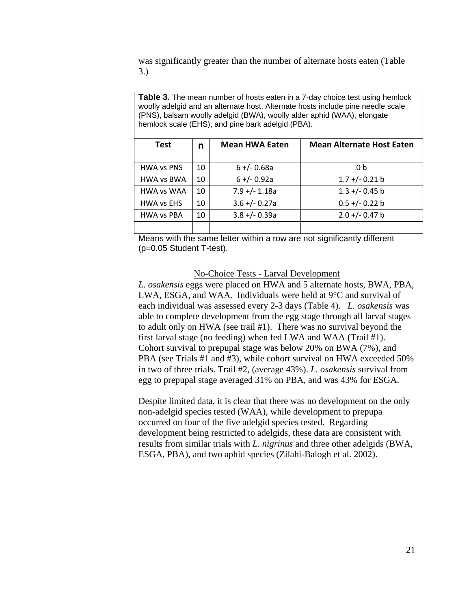was significantly greater than the number of alternate hosts eaten (Table 3.)

**Table 3.** The mean number of hosts eaten in a 7-day choice test using hemlock woolly adelgid and an alternate host. Alternate hosts include pine needle scale (PNS), balsam woolly adelgid (BWA), woolly alder aphid (WAA), elongate hemlock scale (EHS), and pine bark adelgid (PBA).

| Test              | n  | <b>Mean HWA Eaten</b> | <b>Mean Alternate Host Eaten</b> |  |  |
|-------------------|----|-----------------------|----------------------------------|--|--|
| <b>HWA vs PNS</b> | 10 | $6 + (-0.68a)$        | 0 <sub>b</sub>                   |  |  |
| <b>HWA vs BWA</b> | 10 | $6 + (-0.92a)$        | $1.7 + (-0.21)$                  |  |  |
| <b>HWA vs WAA</b> | 10 | $7.9 +/- 1.18a$       | $1.3 + (-0.45)$                  |  |  |
| <b>HWA vs EHS</b> | 10 | $3.6 + (-0.27a)$      | $0.5 +/- 0.22$ b                 |  |  |
| <b>HWA vs PBA</b> | 10 | $3.8 + (-0.39a)$      | $2.0 +/- 0.47$ b                 |  |  |
|                   |    |                       |                                  |  |  |

Means with the same letter within a row are not significantly different (p=0.05 Student T-test).

#### No-Choice Tests - Larval Development

*L. osakensis* eggs were placed on HWA and 5 alternate hosts, BWA, PBA, LWA, ESGA, and WAA. Individuals were held at 9°C and survival of each individual was assessed every 2-3 days (Table 4). *L. osakensis* was able to complete development from the egg stage through all larval stages to adult only on HWA (see trail #1). There was no survival beyond the first larval stage (no feeding) when fed LWA and WAA (Trail #1). Cohort survival to prepupal stage was below 20% on BWA (7%), and PBA (see Trials #1 and #3), while cohort survival on HWA exceeded 50% in two of three trials. Trail #2, (average 43%). *L. osakensis* survival from egg to prepupal stage averaged 31% on PBA, and was 43% for ESGA.

Despite limited data, it is clear that there was no development on the only non-adelgid species tested (WAA), while development to prepupa occurred on four of the five adelgid species tested. Regarding development being restricted to adelgids, these data are consistent with results from similar trials with *L. nigrinus* and three other adelgids (BWA, ESGA, PBA), and two aphid species (Zilahi-Balogh et al. 2002).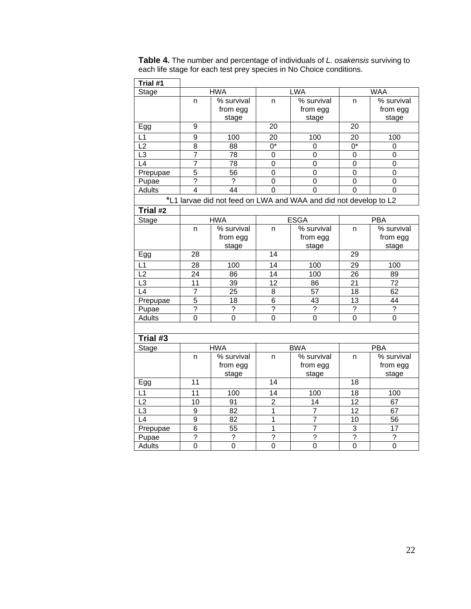| <b>Table 4.</b> The number and percentage of individuals of L. osakensis surviving to |
|---------------------------------------------------------------------------------------|
| each life stage for each test prey species in No Choice conditions.                   |

| Trial #1              |                |                        |                         |                                                                  |                        |                        |
|-----------------------|----------------|------------------------|-------------------------|------------------------------------------------------------------|------------------------|------------------------|
| <b>Stage</b>          | <b>HWA</b>     |                        | <b>LWA</b>              |                                                                  |                        | <b>WAA</b>             |
|                       | n              | % survival<br>from egg | n                       | % survival<br>from egg                                           | n                      | % survival<br>from egg |
| Egg                   | 9              | stage                  | $\overline{20}$         | stage                                                            | $\overline{20}$        | stage                  |
|                       |                |                        |                         |                                                                  |                        |                        |
| L1<br>$\overline{L2}$ | 9              | 100                    | 20<br>$\overline{0^*}$  | 100                                                              | 20<br>$\overline{0^*}$ | 100                    |
| $\overline{L3}$       | $\overline{8}$ | 88                     |                         | $\overline{0}$                                                   |                        | $\mathbf 0$            |
| L4                    | $\overline{7}$ | 78                     | 0                       | 0                                                                | 0                      | 0                      |
|                       | $\overline{7}$ | 78                     | $\mathbf 0$             | $\mathbf 0$                                                      | $\overline{0}$         | $\mathbf 0$            |
| Prepupae              | 5              | 56                     | 0                       | 0                                                                | 0                      | 0                      |
| Pupae                 | $\overline{?}$ | ?                      | 0                       | 0                                                                | 0                      | 0                      |
| Adults                | $\overline{4}$ | $\overline{44}$        | $\overline{0}$          | $\overline{0}$                                                   | 0                      | 0                      |
|                       |                |                        |                         | *L1 larvae did not feed on LWA and WAA and did not develop to L2 |                        |                        |
| Trial #2              |                |                        |                         |                                                                  |                        |                        |
| Stage                 |                | <b>HWA</b>             |                         | <b>ESGA</b>                                                      | <b>PBA</b>             |                        |
|                       | n              | % survival             | n                       | % survival                                                       | n                      | % survival             |
|                       |                | from egg               |                         | from egg                                                         |                        | from egg               |
|                       |                | stage                  |                         | stage                                                            |                        | stage                  |
| Egg                   | 28             |                        | 14                      |                                                                  | 29                     |                        |
| $\overline{L1}$       | 28             | 100                    | 14                      | 100                                                              | 29                     | 100                    |
| L2                    | 24             | 86                     | 14                      | 100                                                              | 26                     | 89                     |
| L <sub>3</sub>        | 11             | 39                     | 12                      | 86                                                               | 21                     | 72                     |
| $\overline{L4}$       | $\overline{7}$ | 25                     | 8                       | 57                                                               | 18                     | 62                     |
| Prepupae              | $\overline{5}$ | 18                     | $\overline{6}$          | 43                                                               | 13                     | 44                     |
| Pupae                 | $\overline{?}$ | $\overline{?}$         | $\overline{?}$          | $\overline{?}$                                                   | $\overline{?}$         | $\overline{?}$         |
| <b>Adults</b>         | $\mathbf 0$    | $\overline{0}$         | $\mathbf 0$             | $\mathbf 0$                                                      | $\mathbf 0$            | 0                      |
| Trial #3              |                |                        |                         |                                                                  |                        |                        |
| <b>Stage</b>          |                | <b>HWA</b>             |                         | <b>BWA</b>                                                       |                        | <b>PBA</b>             |
|                       | n              | % survival             | n                       | % survival                                                       | n                      | % survival             |
|                       |                | from egg               |                         | from egg                                                         |                        | from egg               |
|                       |                | stage                  |                         | stage                                                            |                        | stage                  |
| Egg                   | 11             |                        | 14                      |                                                                  | 18                     |                        |
| L1                    | 11             | 100                    | 14                      | 100                                                              | 18                     | 100                    |
| L <sub>2</sub>        | 10             | 91                     | $\overline{\mathbf{c}}$ | 14                                                               | 12                     | 67                     |
| $\overline{L3}$       | 9              | 82                     | $\overline{1}$          | $\overline{7}$                                                   | $\overline{12}$        | 67                     |
| $\overline{L4}$       | $\overline{9}$ | 82                     | $\overline{1}$          | $\overline{7}$                                                   | $\overline{10}$        | 56                     |
| Prepupae              | 6              | 55                     | $\overline{1}$          | $\overline{7}$                                                   | 3                      | 17                     |
| Pupae                 | $\overline{?}$ | $\overline{\cdot}$     | $\overline{?}$          | $\overline{?}$                                                   | $\overline{?}$         | ?                      |
| <b>Adults</b>         | $\overline{0}$ | $\overline{0}$         | $\overline{0}$          | $\overline{0}$                                                   | $\overline{0}$         | $\overline{0}$         |
|                       |                |                        |                         |                                                                  |                        |                        |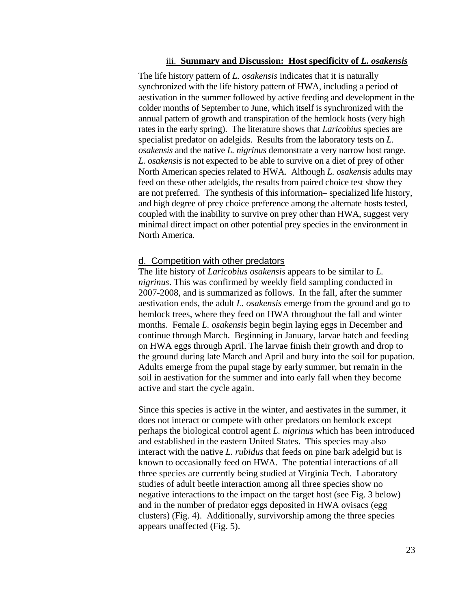### iii. **Summary and Discussion: Host specificity of** *L. osakensis*

The life history pattern of *L. osakensis* indicates that it is naturally synchronized with the life history pattern of HWA, including a period of aestivation in the summer followed by active feeding and development in the colder months of September to June, which itself is synchronized with the annual pattern of growth and transpiration of the hemlock hosts (very high rates in the early spring). The literature shows that *Laricobius* species are specialist predator on adelgids. Results from the laboratory tests on *L. osakensis* and the native *L. nigrinus* demonstrate a very narrow host range. *L. osakensis* is not expected to be able to survive on a diet of prey of other North American species related to HWA. Although *L. osakensis* adults may feed on these other adelgids, the results from paired choice test show they are not preferred. The synthesis of this information– specialized life history, and high degree of prey choice preference among the alternate hosts tested, coupled with the inability to survive on prey other than HWA, suggest very minimal direct impact on other potential prey species in the environment in North America.

### d. Competition with other predators

The life history of *Laricobius osakensis* appears to be similar to *L. nigrinus*. This was confirmed by weekly field sampling conducted in 2007-2008, and is summarized as follows. In the fall, after the summer aestivation ends, the adult *L. osakensis* emerge from the ground and go to hemlock trees, where they feed on HWA throughout the fall and winter months. Female *L. osakensis* begin begin laying eggs in December and continue through March. Beginning in January, larvae hatch and feeding on HWA eggs through April. The larvae finish their growth and drop to the ground during late March and April and bury into the soil for pupation. Adults emerge from the pupal stage by early summer, but remain in the soil in aestivation for the summer and into early fall when they become active and start the cycle again.

Since this species is active in the winter, and aestivates in the summer, it does not interact or compete with other predators on hemlock except perhaps the biological control agent *L. nigrinus* which has been introduced and established in the eastern United States. This species may also interact with the native *L. rubidus* that feeds on pine bark adelgid but is known to occasionally feed on HWA. The potential interactions of all three species are currently being studied at Virginia Tech. Laboratory studies of adult beetle interaction among all three species show no negative interactions to the impact on the target host (see Fig. 3 below) and in the number of predator eggs deposited in HWA ovisacs (egg clusters) (Fig. 4). Additionally, survivorship among the three species appears unaffected (Fig. 5).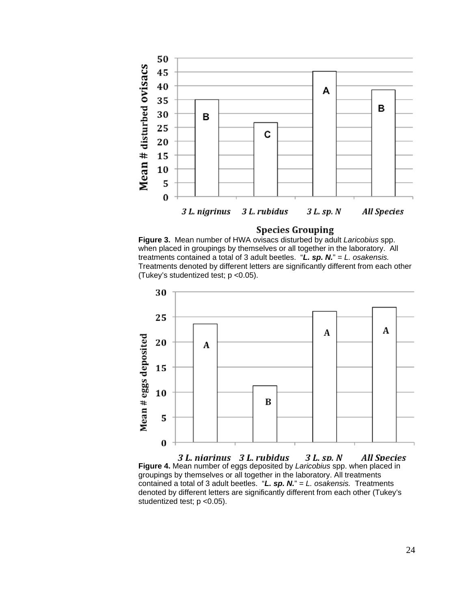

### **Species Grouping**

**Figure 3.** Mean number of HWA ovisacs disturbed by adult *Laricobius* spp. when placed in groupings by themselves or all together in the laboratory. All treatments contained a total of 3 adult beetles. "*L. sp. N.*" = *L. osakensis.*  Treatments denoted by different letters are significantly different from each other (Tukey's studentized test; p <0.05).



3 L. niarinus 3 L. rubidus 3 L. sp. N **All Species Figure 4.** Mean number of eggs deposited by *Laricobius* spp. when placed in groupings by themselves or all together in the laboratory. All treatments contained a total of 3 adult beetles. "*L. sp. N.*" = *L. osakensis.* Treatments denoted by different letters are significantly different from each other (Tukey's studentized test; p <0.05).

24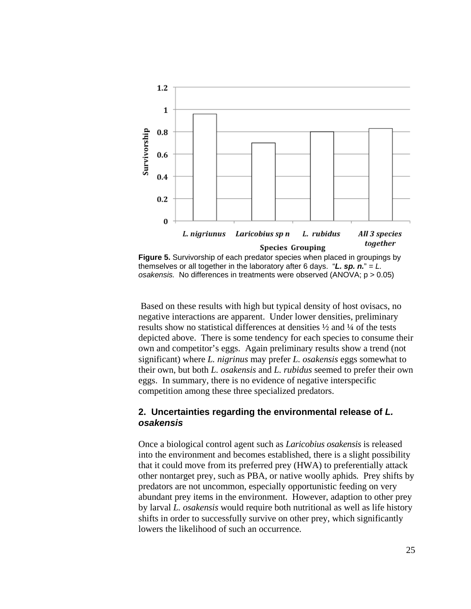

themselves or all together in the laboratory after 6 days. " $\mathbf{L}$ . sp.  $n$ ." =  $\mathbf{L}$ . *osakensis.* No differences in treatments were observed (ANOVA; p > 0.05)

Based on these results with high but typical density of host ovisacs, no negative interactions are apparent. Under lower densities, preliminary results show no statistical differences at densities ½ and ¼ of the tests depicted above. There is some tendency for each species to consume their own and competitor's eggs. Again preliminary results show a trend (not significant) where *L. nigrinus* may prefer *L. osakensis* eggs somewhat to their own, but both *L. osakensis* and *L. rubidus* seemed to prefer their own eggs. In summary, there is no evidence of negative interspecific competition among these three specialized predators.

### **2. Uncertainties regarding the environmental release of** *L. osakensis*

Once a biological control agent such as *Laricobius osakensis* is released into the environment and becomes established, there is a slight possibility that it could move from its preferred prey (HWA) to preferentially attack other nontarget prey, such as PBA, or native woolly aphids*.* Prey shifts by predators are not uncommon, especially opportunistic feeding on very abundant prey items in the environment. However, adaption to other prey by larval *L. osakensis* would require both nutritional as well as life history shifts in order to successfully survive on other prey, which significantly lowers the likelihood of such an occurrence*.*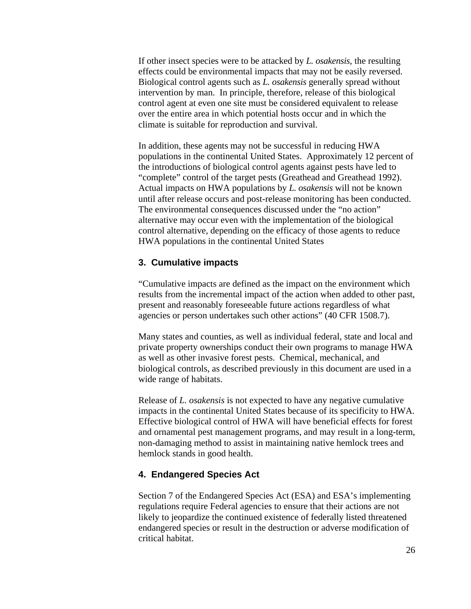If other insect species were to be attacked by *L. osakensis*, the resulting effects could be environmental impacts that may not be easily reversed. Biological control agents such as *L. osakensis* generally spread without intervention by man. In principle, therefore, release of this biological control agent at even one site must be considered equivalent to release over the entire area in which potential hosts occur and in which the climate is suitable for reproduction and survival.

In addition, these agents may not be successful in reducing HWA populations in the continental United States. Approximately 12 percent of the introductions of biological control agents against pests have led to "complete" control of the target pests (Greathead and Greathead 1992). Actual impacts on HWA populations by *L. osakensis* will not be known until after release occurs and post-release monitoring has been conducted. The environmental consequences discussed under the "no action" alternative may occur even with the implementation of the biological control alternative, depending on the efficacy of those agents to reduce HWA populations in the continental United States

### **3. Cumulative impacts**

"Cumulative impacts are defined as the impact on the environment which results from the incremental impact of the action when added to other past, present and reasonably foreseeable future actions regardless of what agencies or person undertakes such other actions" (40 CFR 1508.7).

Many states and counties, as well as individual federal, state and local and private property ownerships conduct their own programs to manage HWA as well as other invasive forest pests. Chemical, mechanical, and biological controls, as described previously in this document are used in a wide range of habitats.

Release of *L. osakensis* is not expected to have any negative cumulative impacts in the continental United States because of its specificity to HWA. Effective biological control of HWA will have beneficial effects for forest and ornamental pest management programs, and may result in a long-term, non-damaging method to assist in maintaining native hemlock trees and hemlock stands in good health.

### **4. Endangered Species Act**

Section 7 of the Endangered Species Act (ESA) and ESA's implementing regulations require Federal agencies to ensure that their actions are not likely to jeopardize the continued existence of federally listed threatened endangered species or result in the destruction or adverse modification of critical habitat.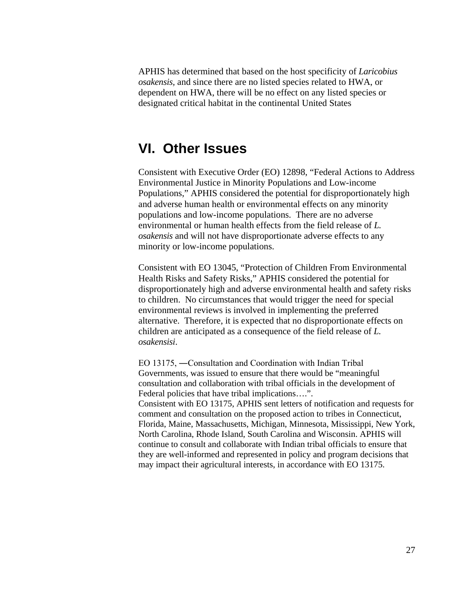APHIS has determined that based on the host specificity of *Laricobius osakensis,* and since there are no listed species related to HWA, or dependent on HWA, there will be no effect on any listed species or designated critical habitat in the continental United States

## **VI. Other Issues**

Consistent with Executive Order (EO) 12898, "Federal Actions to Address Environmental Justice in Minority Populations and Low-income Populations," APHIS considered the potential for disproportionately high and adverse human health or environmental effects on any minority populations and low-income populations. There are no adverse environmental or human health effects from the field release of *L. osakensis* and will not have disproportionate adverse effects to any minority or low-income populations.

Consistent with EO 13045, "Protection of Children From Environmental Health Risks and Safety Risks," APHIS considered the potential for disproportionately high and adverse environmental health and safety risks to children. No circumstances that would trigger the need for special environmental reviews is involved in implementing the preferred alternative. Therefore, it is expected that no disproportionate effects on children are anticipated as a consequence of the field release of *L. osakensisi*.

EO 13175, ―Consultation and Coordination with Indian Tribal Governments, was issued to ensure that there would be "meaningful consultation and collaboration with tribal officials in the development of Federal policies that have tribal implications….". Consistent with EO 13175, APHIS sent letters of notification and requests for comment and consultation on the proposed action to tribes in Connecticut, Florida, Maine, Massachusetts, Michigan, Minnesota, Mississippi, New York, North Carolina, Rhode Island, South Carolina and Wisconsin. APHIS will continue to consult and collaborate with Indian tribal officials to ensure that they are well-informed and represented in policy and program decisions that may impact their agricultural interests, in accordance with EO 13175.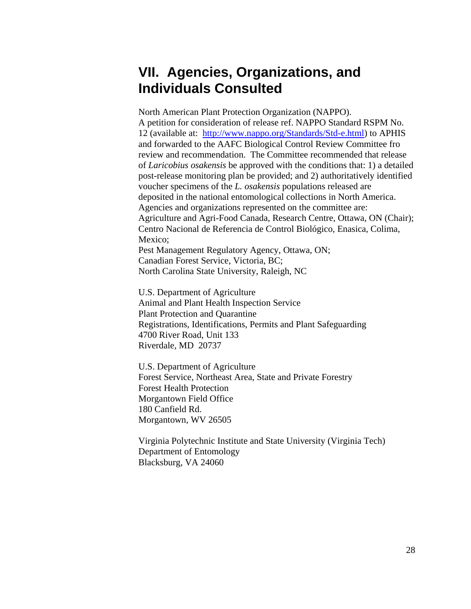# **VII. Agencies, Organizations, and Individuals Consulted**

North American Plant Protection Organization (NAPPO). A petition for consideration of release ref. NAPPO Standard RSPM No. 12 (available at: [http://www.nappo.org/Standards/Std-e.html\)](http://www.nappo.org/Standards/Std-e.html) to APHIS and forwarded to the AAFC Biological Control Review Committee fro review and recommendation. The Committee recommended that release of *Laricobius osakensis* be approved with the conditions that: 1) a detailed post-release monitoring plan be provided; and 2) authoritatively identified voucher specimens of the *L. osakensis* populations released are deposited in the national entomological collections in North America. Agencies and organizations represented on the committee are: Agriculture and Agri-Food Canada, Research Centre, Ottawa, ON (Chair); Centro Nacional de Referencia de Control Biológico, Enasica, Colima, Mexico: Pest Management Regulatory Agency, Ottawa, ON;

Canadian Forest Service, Victoria, BC; North Carolina State University, Raleigh, NC

U.S. Department of Agriculture Animal and Plant Health Inspection Service Plant Protection and Quarantine Registrations, Identifications, Permits and Plant Safeguarding 4700 River Road, Unit 133 Riverdale, MD 20737

U.S. Department of Agriculture Forest Service, Northeast Area, State and Private Forestry Forest Health Protection Morgantown Field Office 180 Canfield Rd. Morgantown, WV 26505

Virginia Polytechnic Institute and State University (Virginia Tech) Department of Entomology Blacksburg, VA 24060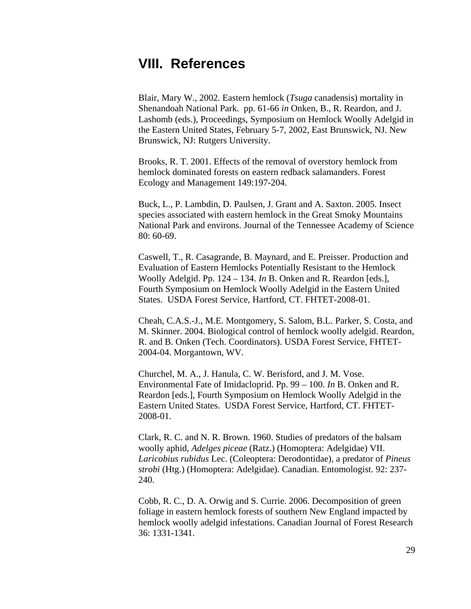## **VIII. References**

Blair, Mary W., 2002. Eastern hemlock (*Tsuga* canadensis) mortality in Shenandoah National Park. pp. 61-66 *in* Onken, B., R. Reardon, and J. Lashomb (eds.), Proceedings, Symposium on Hemlock Woolly Adelgid in the Eastern United States, February 5-7, 2002, East Brunswick, NJ. New Brunswick, NJ: Rutgers University.

Brooks, R. T. 2001. Effects of the removal of overstory hemlock from hemlock dominated forests on eastern redback salamanders. Forest Ecology and Management 149:197-204.

Buck, L., P. Lambdin, D. Paulsen, J. Grant and A. Saxton. 2005. Insect species associated with eastern hemlock in the Great Smoky Mountains National Park and environs. Journal of the Tennessee Academy of Science 80: 60-69.

Caswell, T., R. Casagrande, B. Maynard, and E. Preisser. Production and Evaluation of Eastern Hemlocks Potentially Resistant to the Hemlock Woolly Adelgid. Pp. 124 – 134. *In* B. Onken and R. Reardon [eds.], Fourth Symposium on Hemlock Woolly Adelgid in the Eastern United States. USDA Forest Service, Hartford, CT. FHTET-2008-01.

Cheah, C.A.S.-J., M.E. Montgomery, S. Salom, B.L. Parker, S. Costa, and M. Skinner. 2004. Biological control of hemlock woolly adelgid. Reardon, R. and B. Onken (Tech. Coordinators). USDA Forest Service, FHTET-2004-04. Morgantown, WV.

Churchel, M. A., J. Hanula, C. W. Berisford, and J. M. Vose. Environmental Fate of Imidacloprid. Pp. 99 – 100. *In* B. Onken and R. Reardon [eds.], Fourth Symposium on Hemlock Woolly Adelgid in the Eastern United States. USDA Forest Service, Hartford, CT. FHTET-2008-01.

Clark, R. C. and N. R. Brown. 1960. Studies of predators of the balsam woolly aphid, *Adelges piceae* (Ratz.) (Homoptera: Adelgidae) VII. *Laricobius rubidus* Lec. (Coleoptera: Derodontidae), a predator of *Pineus strobi* (Htg.) (Homoptera: Adelgidae). Canadian. Entomologist. 92: 237- 240.

Cobb, R. C., D. A. Orwig and S. Currie. 2006. Decomposition of green foliage in eastern hemlock forests of southern New England impacted by hemlock woolly adelgid infestations. Canadian Journal of Forest Research 36: 1331-1341.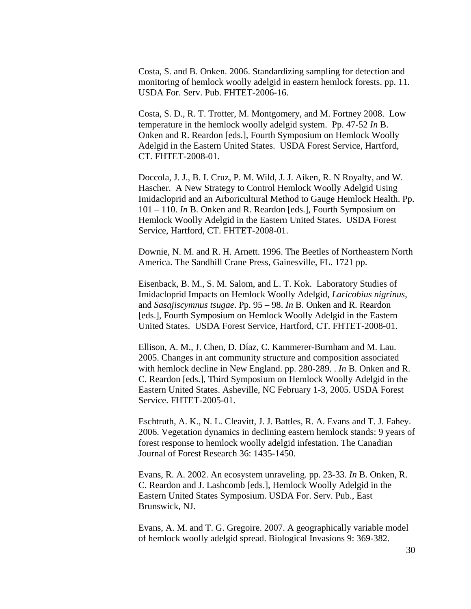Costa, S. and B. Onken. 2006. Standardizing sampling for detection and monitoring of hemlock woolly adelgid in eastern hemlock forests. pp. 11. USDA For. Serv. Pub. FHTET-2006-16.

Costa, S. D., R. T. Trotter, M. Montgomery, and M. Fortney 2008. Low temperature in the hemlock woolly adelgid system. Pp. 47-52 *In* B. Onken and R. Reardon [eds.], Fourth Symposium on Hemlock Woolly Adelgid in the Eastern United States. USDA Forest Service, Hartford, CT. FHTET-2008-01.

Doccola, J. J., B. I. Cruz, P. M. Wild, J. J. Aiken, R. N Royalty, and W. Hascher. A New Strategy to Control Hemlock Woolly Adelgid Using Imidacloprid and an Arboricultural Method to Gauge Hemlock Health. Pp. 101 – 110. *In* B. Onken and R. Reardon [eds.], Fourth Symposium on Hemlock Woolly Adelgid in the Eastern United States. USDA Forest Service, Hartford, CT. FHTET-2008-01.

Downie, N. M. and R. H. Arnett. 1996. The Beetles of Northeastern North America. The Sandhill Crane Press, Gainesville, FL. 1721 pp.

Eisenback, B. M., S. M. Salom, and L. T. Kok. Laboratory Studies of Imidacloprid Impacts on Hemlock Woolly Adelgid, *Laricobius nigrinus*, and *Sasajiscymnus tsugae*. Pp. 95 – 98. *In* B. Onken and R. Reardon [eds.], Fourth Symposium on Hemlock Woolly Adelgid in the Eastern United States. USDA Forest Service, Hartford, CT. FHTET-2008-01.

Ellison, A. M., J. Chen, D. Díaz, C. Kammerer-Burnham and M. Lau. 2005. Changes in ant community structure and composition associated with hemlock decline in New England. pp. 280-289. . *In* B. Onken and R. C. Reardon [eds.], Third Symposium on Hemlock Woolly Adelgid in the Eastern United States. Asheville, NC February 1-3, 2005. USDA Forest Service. FHTET-2005-01.

Eschtruth, A. K., N. L. Cleavitt, J. J. Battles, R. A. Evans and T. J. Fahey. 2006. Vegetation dynamics in declining eastern hemlock stands: 9 years of forest response to hemlock woolly adelgid infestation. The Canadian Journal of Forest Research 36: 1435-1450.

Evans, R. A. 2002. An ecosystem unraveling. pp. 23-33. *In* B. Onken, R. C. Reardon and J. Lashcomb [eds.], Hemlock Woolly Adelgid in the Eastern United States Symposium. USDA For. Serv. Pub., East Brunswick, NJ.

Evans, A. M. and T. G. Gregoire. 2007. A geographically variable model of hemlock woolly adelgid spread. Biological Invasions 9: 369-382.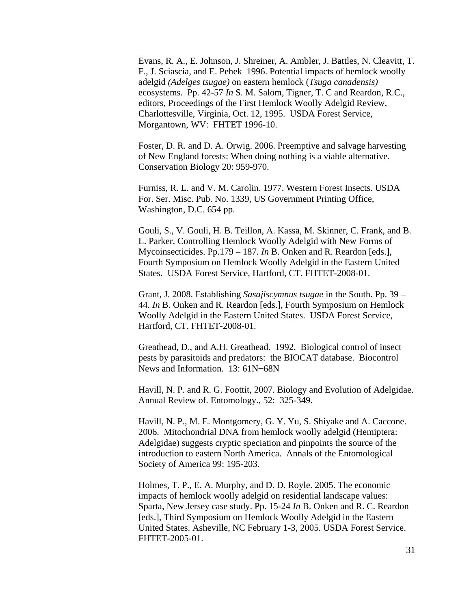Evans, R. A., E. Johnson, J. Shreiner, A. Ambler, J. Battles, N. Cleavitt, T. F., J. Sciascia, and E. Pehek 1996. Potential impacts of hemlock woolly adelgid *(Adelges tsugae)* on eastern hemlock (*Tsuga canadensis)*  ecosystems. Pp. 42-57 *In* S. M. Salom, Tigner, T. C and Reardon, R.C., editors, Proceedings of the First Hemlock Woolly Adelgid Review, Charlottesville, Virginia, Oct. 12, 1995. USDA Forest Service, Morgantown, WV: FHTET 1996-10.

Foster, D. R. and D. A. Orwig. 2006. Preemptive and salvage harvesting of New England forests: When doing nothing is a viable alternative. Conservation Biology 20: 959-970.

Furniss, R. L. and V. M. Carolin. 1977. Western Forest Insects. USDA For. Ser. Misc. Pub. No. 1339, US Government Printing Office, Washington, D.C. 654 pp.

Gouli, S., V. Gouli, H. B. Teillon, A. Kassa, M. Skinner, C. Frank, and B. L. Parker. Controlling Hemlock Woolly Adelgid with New Forms of Mycoinsecticides. Pp.179 – 187. *In* B. Onken and R. Reardon [eds.], Fourth Symposium on Hemlock Woolly Adelgid in the Eastern United States. USDA Forest Service, Hartford, CT. FHTET-2008-01.

Grant, J. 2008. Establishing *Sasajiscymnus tsugae* in the South. Pp. 39 – 44. *In* B. Onken and R. Reardon [eds.], Fourth Symposium on Hemlock Woolly Adelgid in the Eastern United States. USDA Forest Service, Hartford, CT. FHTET-2008-01.

Greathead, D., and A.H. Greathead. 1992. Biological control of insect pests by parasitoids and predators: the BIOCAT database. Biocontrol News and Information. 13: 61N−68N

Havill, N. P. and R. G. Foottit, 2007. Biology and Evolution of Adelgidae. Annual Review of. Entomology., 52: 325-349.

Havill, N. P., M. E. Montgomery, G. Y. Yu, S. Shiyake and A. Caccone. 2006. Mitochondrial DNA from hemlock woolly adelgid (Hemiptera: Adelgidae) suggests cryptic speciation and pinpoints the source of the introduction to eastern North America. Annals of the Entomological Society of America 99: 195-203.

Holmes, T. P., E. A. Murphy, and D. D. Royle. 2005. The economic impacts of hemlock woolly adelgid on residential landscape values: Sparta, New Jersey case study. Pp. 15-24 *In* B. Onken and R. C. Reardon [eds.], Third Symposium on Hemlock Woolly Adelgid in the Eastern United States. Asheville, NC February 1-3, 2005. USDA Forest Service. FHTET-2005-01.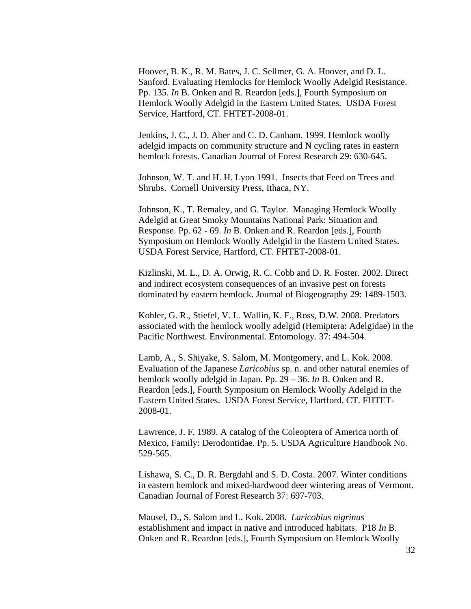Hoover, B. K., R. M. Bates, J. C. Sellmer, G. A. Hoover, and D. L. Sanford. Evaluating Hemlocks for Hemlock Woolly Adelgid Resistance. Pp. 135. *In* B. Onken and R. Reardon [eds.], Fourth Symposium on Hemlock Woolly Adelgid in the Eastern United States. USDA Forest Service, Hartford, CT. FHTET-2008-01.

Jenkins, J. C., J. D. Aber and C. D. Canham. 1999. Hemlock woolly adelgid impacts on community structure and N cycling rates in eastern hemlock forests. Canadian Journal of Forest Research 29: 630-645.

Johnson, W. T. and H. H. Lyon 1991. Insects that Feed on Trees and Shrubs. Cornell University Press, Ithaca, NY.

Johnson, K., T. Remaley, and G. Taylor. Managing Hemlock Woolly Adelgid at Great Smoky Mountains National Park: Situation and Response. Pp. 62 - 69. *In* B. Onken and R. Reardon [eds.], Fourth Symposium on Hemlock Woolly Adelgid in the Eastern United States. USDA Forest Service, Hartford, CT. FHTET-2008-01.

Kizlinski, M. L., D. A. Orwig, R. C. Cobb and D. R. Foster. 2002. Direct and indirect ecosystem consequences of an invasive pest on forests dominated by eastern hemlock. Journal of Biogeography 29: 1489-1503.

Kohler, G. R., Stiefel, V. L. Wallin, K. F., Ross, D.W. 2008. Predators associated with the hemlock woolly adelgid (Hemiptera: Adelgidae) in the Pacific Northwest. Environmental. Entomology. 37: 494-504.

Lamb, A., S. Shiyake, S. Salom, M. Montgomery, and L. Kok. 2008. Evaluation of the Japanese *Laricobius* sp. n. and other natural enemies of hemlock woolly adelgid in Japan. Pp. 29 – 36. *In* B. Onken and R. Reardon [eds.], Fourth Symposium on Hemlock Woolly Adelgid in the Eastern United States. USDA Forest Service, Hartford, CT. FHTET-2008-01.

Lawrence, J. F. 1989. A catalog of the Coleoptera of America north of Mexico, Family: Derodontidae. Pp. 5. USDA Agriculture Handbook No. 529-565.

Lishawa, S. C., D. R. Bergdahl and S. D. Costa. 2007. Winter conditions in eastern hemlock and mixed-hardwood deer wintering areas of Vermont. Canadian Journal of Forest Research 37: 697-703.

Mausel, D., S. Salom and L. Kok. 2008. *Laricobius nigrinus* establishment and impact in native and introduced habitats. P18 *In* B. Onken and R. Reardon [eds.], Fourth Symposium on Hemlock Woolly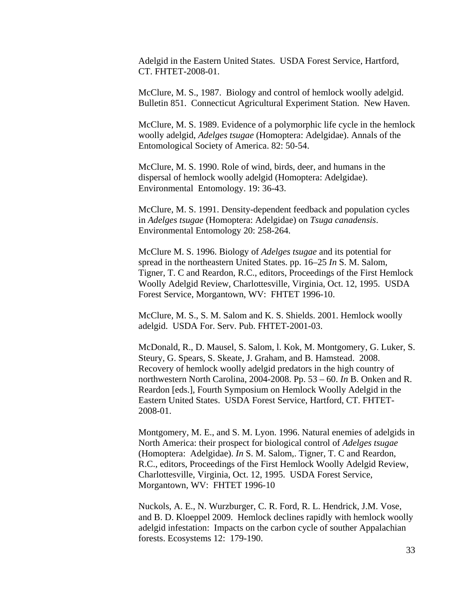Adelgid in the Eastern United States. USDA Forest Service, Hartford, CT. FHTET-2008-01.

McClure, M. S., 1987. Biology and control of hemlock woolly adelgid. Bulletin 851. Connecticut Agricultural Experiment Station. New Haven.

McClure, M. S. 1989. Evidence of a polymorphic life cycle in the hemlock woolly adelgid, *Adelges tsugae* (Homoptera: Adelgidae). Annals of the Entomological Society of America. 82: 50-54.

McClure, M. S. 1990. Role of wind, birds, deer, and humans in the dispersal of hemlock woolly adelgid (Homoptera: Adelgidae). Environmental Entomology. 19: 36-43.

McClure, M. S. 1991. Density-dependent feedback and population cycles in *Adelges tsugae* (Homoptera: Adelgidae) on *Tsuga canadensis*. Environmental Entomology 20: 258-264.

McClure M. S. 1996. Biology of *Adelges tsugae* and its potential for spread in the northeastern United States. pp. 16–25 *In* S. M. Salom, Tigner, T. C and Reardon, R.C., editors, Proceedings of the First Hemlock Woolly Adelgid Review, Charlottesville, Virginia, Oct. 12, 1995. USDA Forest Service, Morgantown, WV: FHTET 1996-10.

McClure, M. S., S. M. Salom and K. S. Shields. 2001. Hemlock woolly adelgid. USDA For. Serv. Pub. FHTET-2001-03.

McDonald, R., D. Mausel, S. Salom, l. Kok, M. Montgomery, G. Luker, S. Steury, G. Spears, S. Skeate, J. Graham, and B. Hamstead. 2008. Recovery of hemlock woolly adelgid predators in the high country of northwestern North Carolina, 2004-2008. Pp. 53 – 60. *In* B. Onken and R. Reardon [eds.], Fourth Symposium on Hemlock Woolly Adelgid in the Eastern United States. USDA Forest Service, Hartford, CT. FHTET-2008-01.

Montgomery, M. E., and S. M. Lyon. 1996. Natural enemies of adelgids in North America: their prospect for biological control of *Adelges tsugae*  (Homoptera: Adelgidae). *In* S. M. Salom,. Tigner, T. C and Reardon, R.C., editors, Proceedings of the First Hemlock Woolly Adelgid Review, Charlottesville, Virginia, Oct. 12, 1995. USDA Forest Service, Morgantown, WV: FHTET 1996-10

Nuckols, A. E., N. Wurzburger, C. R. Ford, R. L. Hendrick, J.M. Vose, and B. D. Kloeppel 2009. Hemlock declines rapidly with hemlock woolly adelgid infestation: Impacts on the carbon cycle of souther Appalachian forests. Ecosystems 12: 179-190.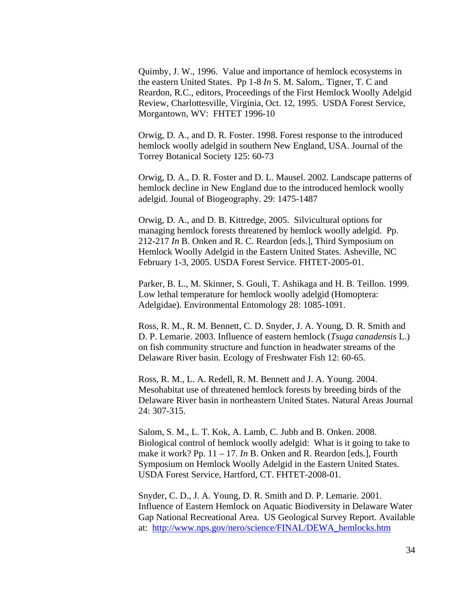Quimby, J. W., 1996. Value and importance of hemlock ecosystems in the eastern United States. Pp 1-8 *In* S. M. Salom,. Tigner, T. C and Reardon, R.C., editors, Proceedings of the First Hemlock Woolly Adelgid Review, Charlottesville, Virginia, Oct. 12, 1995. USDA Forest Service, Morgantown, WV: FHTET 1996-10

Orwig, D. A., and D. R. Foster. 1998. Forest response to the introduced hemlock woolly adelgid in southern New England, USA. Journal of the Torrey Botanical Society 125: 60-73

Orwig, D. A., D. R. Foster and D. L. Mausel. 2002. Landscape patterns of hemlock decline in New England due to the introduced hemlock woolly adelgid. Jounal of Biogeography. 29: 1475-1487

Orwig, D. A., and D. B. Kittredge, 2005. Silvicultural options for managing hemlock forests threatened by hemlock woolly adelgid. Pp. 212-217 *In* B. Onken and R. C. Reardon [eds.], Third Symposium on Hemlock Woolly Adelgid in the Eastern United States. Asheville, NC February 1-3, 2005. USDA Forest Service. FHTET-2005-01.

Parker, B. L., M. Skinner, S. Gouli, T. Ashikaga and H. B. Teillon. 1999. Low lethal temperature for hemlock woolly adelgid (Homoptera: Adelgidae). Environmental Entomology 28: 1085-1091.

Ross, R. M., R. M. Bennett, C. D. Snyder, J. A. Young, D. R. Smith and D. P. Lemarie. 2003. Influence of eastern hemlock (*Tsuga canadensis* L.) on fish community structure and function in headwater streams of the Delaware River basin. Ecology of Freshwater Fish 12: 60-65.

Ross, R. M., L. A. Redell, R. M. Bennett and J. A. Young. 2004. Mesohabitat use of threatened hemlock forests by breeding birds of the Delaware River basin in northeastern United States. Natural Areas Journal 24: 307-315.

Salom, S. M., L. T. Kok, A. Lamb, C. Jubb and B. Onken. 2008. Biological control of hemlock woolly adelgid: What is it going to take to make it work? Pp. 11 – 17. *In* B. Onken and R. Reardon [eds.], Fourth Symposium on Hemlock Woolly Adelgid in the Eastern United States. USDA Forest Service, Hartford, CT. FHTET-2008-01.

Snyder, C. D., J. A. Young, D. R. Smith and D. P. Lemarie. 2001. Influence of Eastern Hemlock on Aquatic Biodiversity in Delaware Water Gap National Recreational Area. US Geological Survey Report. Available at: [http://www.nps.gov/nero/science/FINAL/DEWA\\_hemlocks.htm](http://www.nps.gov/nero/science/FINAL/DEWA_hemlocks.htm)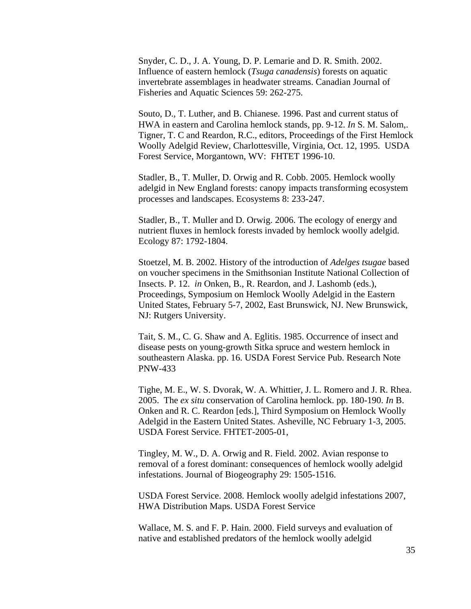Snyder, C. D., J. A. Young, D. P. Lemarie and D. R. Smith. 2002. Influence of eastern hemlock (*Tsuga canadensis*) forests on aquatic invertebrate assemblages in headwater streams. Canadian Journal of Fisheries and Aquatic Sciences 59: 262-275.

Souto, D., T. Luther, and B. Chianese. 1996. Past and current status of HWA in eastern and Carolina hemlock stands, pp. 9-12. *In* S. M. Salom,. Tigner, T. C and Reardon, R.C., editors, Proceedings of the First Hemlock Woolly Adelgid Review, Charlottesville, Virginia, Oct. 12, 1995. USDA Forest Service, Morgantown, WV: FHTET 1996-10.

Stadler, B., T. Muller, D. Orwig and R. Cobb. 2005. Hemlock woolly adelgid in New England forests: canopy impacts transforming ecosystem processes and landscapes. Ecosystems 8: 233-247.

Stadler, B., T. Muller and D. Orwig. 2006. The ecology of energy and nutrient fluxes in hemlock forests invaded by hemlock woolly adelgid. Ecology 87: 1792-1804.

Stoetzel, M. B. 2002. History of the introduction of *Adelges tsugae* based on voucher specimens in the Smithsonian Institute National Collection of Insects. P. 12. *in* Onken, B., R. Reardon, and J. Lashomb (eds.), Proceedings, Symposium on Hemlock Woolly Adelgid in the Eastern United States, February 5-7, 2002, East Brunswick, NJ. New Brunswick, NJ: Rutgers University.

Tait, S. M., C. G. Shaw and A. Eglitis. 1985. Occurrence of insect and disease pests on young-growth Sitka spruce and western hemlock in southeastern Alaska. pp. 16. USDA Forest Service Pub. Research Note PNW-433

Tighe, M. E., W. S. Dvorak, W. A. Whittier, J. L. Romero and J. R. Rhea. 2005. The *ex situ* conservation of Carolina hemlock. pp. 180-190. *In* B. Onken and R. C. Reardon [eds.], Third Symposium on Hemlock Woolly Adelgid in the Eastern United States. Asheville, NC February 1-3, 2005. USDA Forest Service. FHTET-2005-01,

Tingley, M. W., D. A. Orwig and R. Field. 2002. Avian response to removal of a forest dominant: consequences of hemlock woolly adelgid infestations. Journal of Biogeography 29: 1505-1516.

USDA Forest Service. 2008. Hemlock woolly adelgid infestations 2007, HWA Distribution Maps. USDA Forest Service

Wallace, M. S. and F. P. Hain. 2000. Field surveys and evaluation of native and established predators of the hemlock woolly adelgid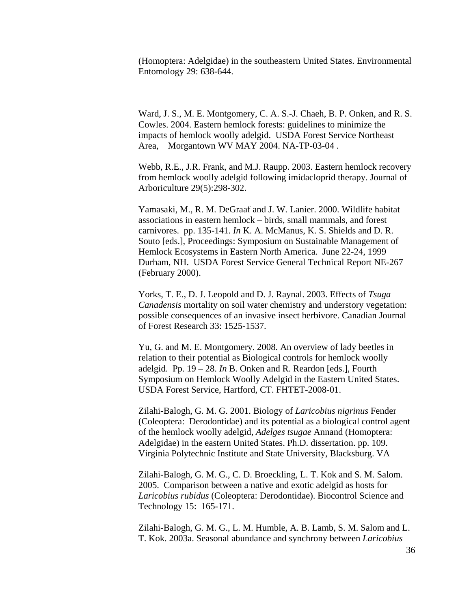(Homoptera: Adelgidae) in the southeastern United States. Environmental Entomology 29: 638-644.

Ward, J. S., M. E. Montgomery, C. A. S.-J. Chaeh, B. P. Onken, and R. S. Cowles. 2004. Eastern hemlock forests: guidelines to minimize the impacts of hemlock woolly adelgid. USDA Forest Service Northeast Area, Morgantown WV MAY 2004. NA-TP-03-04 .

Webb, R.E., J.R. Frank, and M.J. Raupp. 2003. Eastern hemlock recovery from hemlock woolly adelgid following imidacloprid therapy. Journal of Arboriculture 29(5):298-302.

Yamasaki, M., R. M. DeGraaf and J. W. Lanier. 2000. Wildlife habitat associations in eastern hemlock – birds, small mammals, and forest carnivores. pp. 135-141. *In* K. A. McManus, K. S. Shields and D. R. Souto [eds.], Proceedings: Symposium on Sustainable Management of Hemlock Ecosystems in Eastern North America. June 22-24, 1999 Durham, NH. USDA Forest Service General Technical Report NE-267 (February 2000).

Yorks, T. E., D. J. Leopold and D. J. Raynal. 2003. Effects of *Tsuga Canadensis* mortality on soil water chemistry and understory vegetation: possible consequences of an invasive insect herbivore. Canadian Journal of Forest Research 33: 1525-1537.

Yu, G. and M. E. Montgomery. 2008. An overview of lady beetles in relation to their potential as Biological controls for hemlock woolly adelgid. Pp. 19 – 28. *In* B. Onken and R. Reardon [eds.], Fourth Symposium on Hemlock Woolly Adelgid in the Eastern United States. USDA Forest Service, Hartford, CT. FHTET-2008-01.

Zilahi-Balogh, G. M. G. 2001. Biology of *Laricobius nigrinus* Fender (Coleoptera: Derodontidae) and its potential as a biological control agent of the hemlock woolly adelgid, *Adelges tsugae* Annand (Homoptera: Adelgidae) in the eastern United States. Ph.D. dissertation. pp. 109. Virginia Polytechnic Institute and State University, Blacksburg. VA

Zilahi-Balogh, G. M. G., C. D. Broeckling, L. T. Kok and S. M. Salom. 2005. Comparison between a native and exotic adelgid as hosts for *Laricobius rubidus* (Coleoptera: Derodontidae). Biocontrol Science and Technology 15: 165-171.

Zilahi-Balogh, G. M. G., L. M. Humble, A. B. Lamb, S. M. Salom and L. T. Kok. 2003a. Seasonal abundance and synchrony between *Laricobius*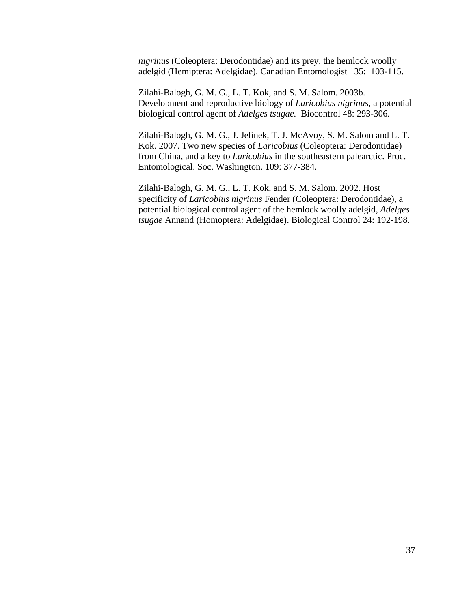*nigrinus* (Coleoptera: Derodontidae) and its prey, the hemlock woolly adelgid (Hemiptera: Adelgidae). Canadian Entomologist 135: 103-115.

Zilahi-Balogh, G. M. G., L. T. Kok, and S. M. Salom. 2003b. Development and reproductive biology of *Laricobius nigrinus,* a potential biological control agent of *Adelges tsugae.* Biocontrol 48: 293-306.

Zilahi-Balogh, G. M. G., J. Jelínek, T. J. McAvoy, S. M. Salom and L. T. Kok. 2007. Two new species of *Laricobius* (Coleoptera: Derodontidae) from China, and a key to *Laricobius* in the southeastern palearctic. Proc. Entomological. Soc. Washington. 109: 377-384.

Zilahi-Balogh, G. M. G., L. T. Kok, and S. M. Salom. 2002. Host specificity of *Laricobius nigrinus* Fender (Coleoptera: Derodontidae), a potential biological control agent of the hemlock woolly adelgid, *Adelges tsugae* Annand (Homoptera: Adelgidae). Biological Control 24: 192-198.